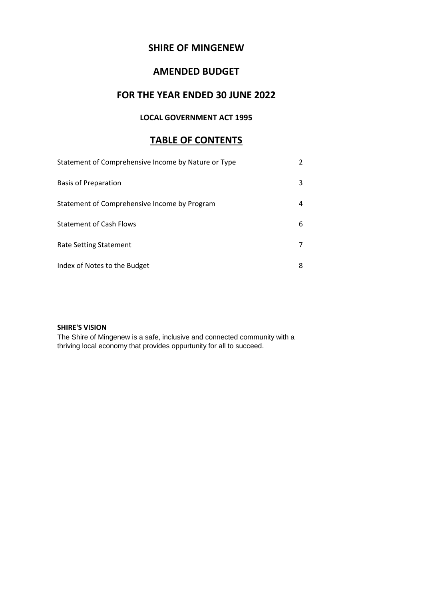# **SHIRE OF MINGENEW**

# **AMENDED BUDGET**

# **FOR THE YEAR ENDED 30 JUNE 2022**

## **LOCAL GOVERNMENT ACT 1995**

# **TABLE OF CONTENTS**

| Statement of Comprehensive Income by Nature or Type |   |
|-----------------------------------------------------|---|
| <b>Basis of Preparation</b>                         | 3 |
| Statement of Comprehensive Income by Program        | 4 |
| <b>Statement of Cash Flows</b>                      | 6 |
| Rate Setting Statement                              |   |
| Index of Notes to the Budget                        | 8 |

## **SHIRE'S VISION**

The Shire of Mingenew is a safe, inclusive and connected community with a thriving local economy that provides oppurtunity for all to succeed.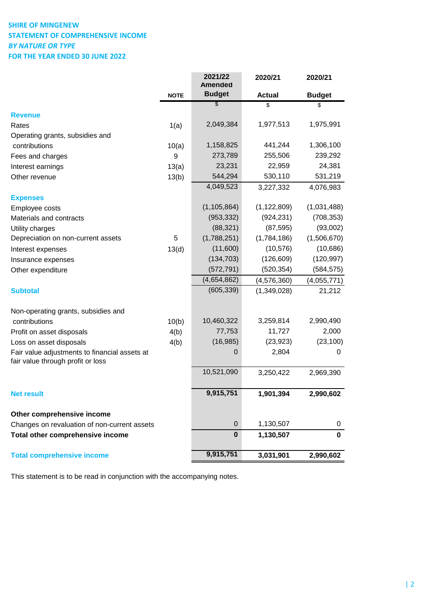# **SHIRE OF MINGENEW STATEMENT OF COMPREHENSIVE INCOME** *BY NATURE OR TYPE* **FOR THE YEAR ENDED 30 JUNE 2022**

|                                                                                    |             | 2021/22<br><b>Amended</b> | 2020/21       | 2020/21       |
|------------------------------------------------------------------------------------|-------------|---------------------------|---------------|---------------|
|                                                                                    | <b>NOTE</b> | <b>Budget</b>             | <b>Actual</b> | <b>Budget</b> |
|                                                                                    |             | \$                        | \$            | \$            |
| <b>Revenue</b>                                                                     |             |                           |               |               |
| Rates                                                                              | 1(a)        | 2,049,384                 | 1,977,513     | 1,975,991     |
| Operating grants, subsidies and                                                    |             |                           |               |               |
| contributions                                                                      | 10(a)       | 1,158,825                 | 441,244       | 1,306,100     |
| Fees and charges                                                                   | 9           | 273,789                   | 255,506       | 239,292       |
| Interest earnings                                                                  | 13(a)       | 23,231                    | 22,959        | 24,381        |
| Other revenue                                                                      | 13(b)       | 544,294                   | 530,110       | 531,219       |
|                                                                                    |             | 4,049,523                 | 3,227,332     | 4,076,983     |
| <b>Expenses</b>                                                                    |             |                           |               |               |
| Employee costs                                                                     |             | (1, 105, 864)             | (1, 122, 809) | (1,031,488)   |
| Materials and contracts                                                            |             | (953, 332)                | (924, 231)    | (708, 353)    |
| Utility charges                                                                    |             | (88, 321)                 | (87, 595)     | (93,002)      |
| Depreciation on non-current assets                                                 | 5           | (1,788,251)               | (1,784,186)   | (1,506,670)   |
| Interest expenses                                                                  | 13(d)       | (11,600)                  | (10, 576)     | (10, 686)     |
| Insurance expenses                                                                 |             | (134, 703)                | (126, 609)    | (120, 997)    |
| Other expenditure                                                                  |             | (572, 791)                | (520, 354)    | (584, 575)    |
|                                                                                    |             | (4,654,862)               | (4,576,360)   | (4,055,771)   |
| <b>Subtotal</b>                                                                    |             | (605, 339)                | (1,349,028)   | 21,212        |
| Non-operating grants, subsidies and                                                |             |                           |               |               |
| contributions                                                                      | 10(b)       | 10,460,322                | 3,259,814     | 2,990,490     |
| Profit on asset disposals                                                          | 4(b)        | 77,753                    | 11,727        | 2,000         |
| Loss on asset disposals                                                            | 4(b)        | (16, 985)                 | (23, 923)     | (23, 100)     |
| Fair value adjustments to financial assets at<br>fair value through profit or loss |             | 0                         | 2,804         | 0             |
|                                                                                    |             | 10,521,090                | 3,250,422     | 2,969,390     |
| <b>Net result</b>                                                                  |             | 9,915,751                 | 1,901,394     | 2,990,602     |
| Other comprehensive income                                                         |             |                           |               |               |
| Changes on revaluation of non-current assets                                       |             | $\pmb{0}$                 | 1,130,507     | 0             |
| Total other comprehensive income                                                   |             | 0                         | 1,130,507     | $\mathbf 0$   |
| <b>Total comprehensive income</b>                                                  |             | 9,915,751                 | 3,031,901     | 2,990,602     |

This statement is to be read in conjunction with the accompanying notes.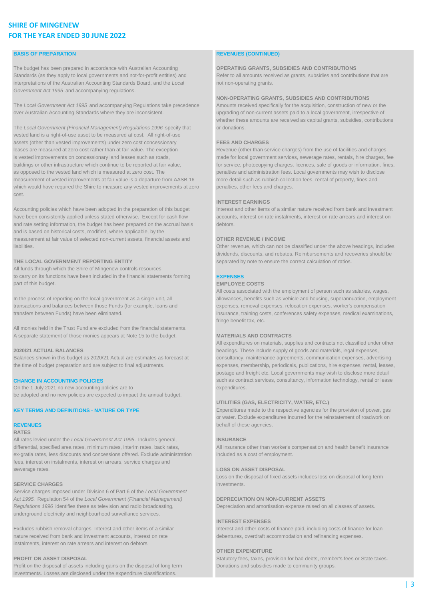## **SHIRE OF MINGENEW FOR THE YEAR ENDED 30 JUNE 2022**

### **BASIS OF PREPARATION REVENUES (CONTINUED)**

The budget has been prepared in accordance with Australian Accounting **OPERATING GRANTS, SUBSIDIES AND CONTRIBUTIONS** Standards (as they apply to local governments and not-for-profit entities) and Refer to all amounts received as grants, subsidies and contributions that are interpretations of the Australian Accounting Standards Board, and the *Local* not non-operating grants. *Government Act 1995* and accompanying regulations.

The Local Government Act 1995 and accompanying Regulations take precedence Amounts received specifically for the acquisition, construction of new or the over Australian Accounting Standards where they are inconsistent. upgrading of non-current assets paid to a local government, irrespective of

The *Local Government (Financial Management) Regulations 1996* specify that or donations. vested land is a right-of-use asset to be measured at cost. All right-of-use assets (other than vested improvements) under zero cost concessionary **FEES AND CHARGES** leases are measured at zero cost rather than at fair value. The exception Revenue (other than service charges) from the use of facilities and charges is vested improvements on concessionary land leases such as roads, made for local government services, sewerage rates, rentals, hire charges, fee buildings or other infrastructure which continue to be reported at fair value, for service, photocopying charges, licences, sale of goods or information, fines, as opposed to the vested land which is measured at zero cost. The penalties and administration fees. Local governments may wish to disclose measurement of vested improvements at fair value is a departure from AASB 16 more detail such as rubbish collection fees, rental of property, fines and which would have required the Shire to measure any vested improvements at zero penalties, other fees and charges. cost.

Accounting policies which have been adopted in the preparation of this budget Interest and other items of a similar nature received from bank and investment have been consistently applied unless stated otherwise. Except for cash flow accounts, interest on rate instalments, interest on rate arrears and interest on and rate setting information, the budget has been prepared on the accrual basis debtors. and is based on historical costs, modified, where applicable, by the measurement at fair value of selected non-current assets, financial assets and **OTHER REVENUE / INCOME** liabilities. Other revenue, which can not be classified under the above headings, includes

All funds through which the Shire of Mingenew controls resources to carry on its functions have been included in the financial statements forming **EXPENSES** part of this budget. **EMPLOYEE COSTS**

All monies held in the Trust Fund are excluded from the financial statements. A separate statement of those monies appears at Note 15 to the budget. **MATERIALS AND CONTRACTS**

On the 1 July 2021 no new accounting policies are to expenditures. be adopted and no new policies are expected to impact the annual budget.

### **RATES**

All rates levied under the *Local Government Act 1995* . Includes general, **INSURANCE** differential, specified area rates, minimum rates, interim rates, back rates, All insurance other than worker's compensation and health benefit insurance ex-gratia rates, less discounts and concessions offered. Exclude administration included as a cost of employment fees, interest on instalments, interest on arrears, service charges and sewerage rates. **LOSS ON ASSET DISPOSAL**

### **SERVICE CHARGES investments.**

Service charges imposed under Division 6 of Part 6 of the *Local Government Act 1995.* Regulation 54 of the *Local Government (Financial Management)* **DEPRECIATION ON NON-CURRENT ASSETS Regulations 1996** identifies these as television and radio broadcasting, **Depreciation and amortisation expense raised on all classes of assets.** underground electricity and neighbourhood surveillance services.

Excludes rubbish removal charges. Interest and other items of a similar Interest and other costs of finance paid, including costs of finance for loan nature received from bank and investment accounts, interest on rate debentures, overdraft accommodation and refinancing expenses. instalments, interest on rate arrears and interest on debtors.

Profit on the disposal of assets including gains on the disposal of long term Donations and subsidies made to community groups. investments. Losses are disclosed under the expenditure classifications.

### **NON-OPERATING GRANTS, SUBSIDIES AND CONTRIBUTIONS**

whether these amounts are received as capital grants, subsidies, contributions

### **INTEREST EARNINGS**

dividends, discounts, and rebates. Reimbursements and recoveries should be **THE LOCAL GOVERNMENT REPORTING ENTITY** separated by note to ensure the correct calculation of ratios.

All costs associated with the employment of person such as salaries, wages, In the process of reporting on the local government as a single unit, all allowances, benefits such as vehicle and housing, superannuation, employment transactions and balances between those Funds (for example, loans and expenses, removal expenses, relocation expenses, worker's compensation transfers between Funds) have been eliminated. insurance, training costs, conferences safety expenses, medical examinations, fringe benefit tax, etc.

All expenditures on materials, supplies and contracts not classified under other **2020/21 ACTUAL BALANCES** headings. These include supply of goods and materials, legal expenses, Balances shown in this budget as 2020/21 Actual are estimates as forecast at consultancy, maintenance agreements, communication expenses, advertising the time of budget preparation and are subject to final adjustments. expenses, membership, periodicals, publications, hire expenses, rental, leases, postage and freight etc. Local governments may wish to disclose more detail **CHANGE IN ACCOUNTING POLICIES** such as contract services, consultancy, information technology, rental or lease

### **UTILITIES (GAS, ELECTRICITY, WATER, ETC.)**

**KEY TERMS AND DEFINITIONS - NATURE OR TYPE** Expenditures made to the respective agencies for the provision of power, gas or water. Exclude expenditures incurred for the reinstatement of roadwork on **REVENUES** behalf of these agencies.

Loss on the disposal of fixed assets includes loss on disposal of long term

### **INTEREST EXPENSES**

### **OTHER EXPENDITURE**

**PROFIT ON ASSET DISPOSAL** Statutory fees, taxes, provision for bad debts, member's fees or State taxes.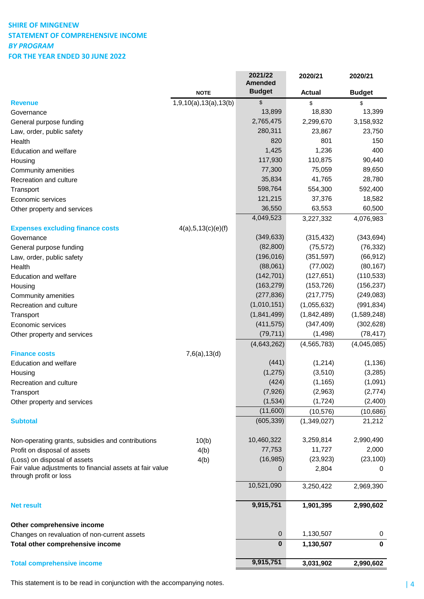# **SHIRE OF MINGENEW STATEMENT OF COMPREHENSIVE INCOME** *BY PROGRAM* **FOR THE YEAR ENDED 30 JUNE 2022**

|                                                          |                       | 2021/22<br>2020/21<br><b>Amended</b> |               | 2020/21       |
|----------------------------------------------------------|-----------------------|--------------------------------------|---------------|---------------|
|                                                          | <b>NOTE</b>           | <b>Budget</b>                        | <b>Actual</b> | <b>Budget</b> |
| <b>Revenue</b>                                           | 1,9,10(a),13(a),13(b) | \$                                   | \$            | \$            |
| Governance                                               |                       | 13,899                               | 18,830        | 13,399        |
| General purpose funding                                  |                       | 2,765,475                            | 2,299,670     | 3,158,932     |
| Law, order, public safety                                |                       | 280,311                              | 23,867        | 23,750        |
| Health                                                   |                       | 820                                  | 801           | 150           |
| <b>Education and welfare</b>                             |                       | 1,425                                | 1,236         | 400           |
| Housing                                                  |                       | 117,930                              | 110,875       | 90,440        |
| Community amenities                                      |                       | 77,300                               | 75,059        | 89,650        |
| Recreation and culture                                   |                       | 35,834                               | 41,765        | 28,780        |
| Transport                                                |                       | 598,764                              | 554,300       | 592,400       |
| Economic services                                        |                       | 121,215                              | 37,376        | 18,582        |
| Other property and services                              |                       | 36,550                               | 63,553        | 60,500        |
|                                                          |                       | 4,049,523                            | 3,227,332     | 4,076,983     |
| <b>Expenses excluding finance costs</b>                  | 4(a), 5, 13(c)(e)(f)  |                                      |               |               |
| Governance                                               |                       | (349, 633)                           | (315, 432)    | (343, 694)    |
| General purpose funding                                  |                       | (82, 800)                            | (75, 572)     | (76, 332)     |
| Law, order, public safety                                |                       | (196, 016)                           | (351, 597)    | (66, 912)     |
| Health                                                   |                       | (88,061)                             | (77,002)      | (80, 167)     |
| <b>Education and welfare</b>                             |                       | (142, 701)                           | (127, 651)    | (110, 533)    |
| Housing                                                  |                       | (163, 279)                           | (153, 726)    | (156, 237)    |
| Community amenities                                      |                       | (277, 836)                           | (217, 775)    | (249, 083)    |
| Recreation and culture                                   |                       | (1,010,151)                          | (1,055,632)   | (991, 834)    |
| Transport                                                |                       | (1,841,499)                          | (1,842,489)   | (1,589,248)   |
| Economic services                                        |                       | (411, 575)                           | (347, 409)    | (302, 628)    |
| Other property and services                              |                       | (79, 711)                            | (1, 498)      | (78, 417)     |
|                                                          |                       | (4,643,262)                          | (4, 565, 783) | (4,045,085)   |
| <b>Finance costs</b>                                     | 7,6(a),13(d)          |                                      |               |               |
| Education and welfare                                    |                       | (441)                                | (1,214)       | (1, 136)      |
| Housing                                                  |                       | (1, 275)                             | (3,510)       | (3,285)       |
| Recreation and culture                                   |                       | (424)                                | (1, 165)      | (1,091)       |
| Transport                                                |                       | (7,926)                              | (2,963)       | (2,774)       |
| Other property and services                              |                       | (1,534)                              | (1, 724)      | (2,400)       |
|                                                          |                       | (11,600)                             | (10, 576)     | (10,686)      |
| <b>Subtotal</b>                                          |                       | (605, 339)                           | (1,349,027)   | 21,212        |
| Non-operating grants, subsidies and contributions        | 10(b)                 | 10,460,322                           | 3,259,814     | 2,990,490     |
| Profit on disposal of assets                             | 4(b)                  | 77,753                               | 11,727        | 2,000         |
| (Loss) on disposal of assets                             | 4(b)                  | (16, 985)                            | (23, 923)     | (23, 100)     |
| Fair value adjustments to financial assets at fair value |                       | 0                                    | 2,804         | 0             |
| through profit or loss                                   |                       |                                      |               |               |
|                                                          |                       | 10,521,090                           | 3,250,422     | 2,969,390     |
| <b>Net result</b>                                        |                       | 9,915,751                            | 1,901,395     | 2,990,602     |
| Other comprehensive income                               |                       |                                      |               |               |
| Changes on revaluation of non-current assets             |                       | 0                                    | 1,130,507     | 0             |
| Total other comprehensive income                         |                       | $\bf{0}$                             | 1,130,507     | $\mathbf 0$   |
| <b>Total comprehensive income</b>                        |                       | 9,915,751                            | 3,031,902     | 2,990,602     |

This statement is to be read in conjunction with the accompanying notes.<br>
| 4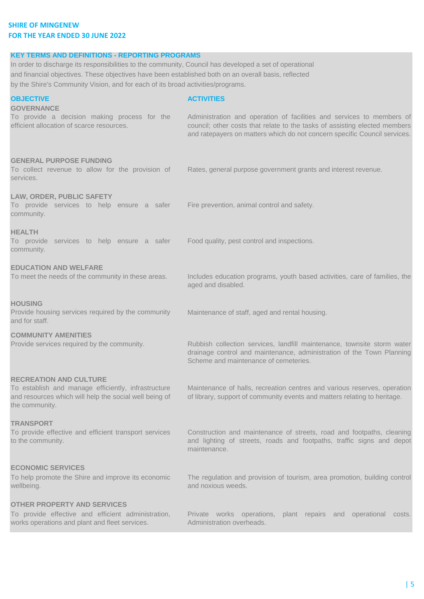# **SHIRE OF MINGENEW FOR THE YEAR ENDED 30 JUNE 2022**

| <b>KEY TERMS AND DEFINITIONS - REPORTING PROGRAMS</b><br>In order to discharge its responsibilities to the community, Council has developed a set of operational<br>and financial objectives. These objectives have been established both on an overall basis, reflected<br>by the Shire's Community Vision, and for each of its broad activities/programs. |                                                                                                                                                                                                                                  |
|-------------------------------------------------------------------------------------------------------------------------------------------------------------------------------------------------------------------------------------------------------------------------------------------------------------------------------------------------------------|----------------------------------------------------------------------------------------------------------------------------------------------------------------------------------------------------------------------------------|
| <b>OBJECTIVE</b>                                                                                                                                                                                                                                                                                                                                            | <b>ACTIVITIES</b>                                                                                                                                                                                                                |
| <b>GOVERNANCE</b><br>To provide a decision making process for the<br>efficient allocation of scarce resources.                                                                                                                                                                                                                                              | Administration and operation of facilities and services to members of<br>council; other costs that relate to the tasks of assisting elected members<br>and ratepayers on matters which do not concern specific Council services. |
| <b>GENERAL PURPOSE FUNDING</b><br>To collect revenue to allow for the provision of<br>services.                                                                                                                                                                                                                                                             | Rates, general purpose government grants and interest revenue.                                                                                                                                                                   |
| LAW, ORDER, PUBLIC SAFETY<br>To provide services to help ensure a safer<br>community.                                                                                                                                                                                                                                                                       | Fire prevention, animal control and safety.                                                                                                                                                                                      |
| <b>HEALTH</b><br>To provide services to help ensure a safer<br>community.                                                                                                                                                                                                                                                                                   | Food quality, pest control and inspections.                                                                                                                                                                                      |
| <b>EDUCATION AND WELFARE</b><br>To meet the needs of the community in these areas.                                                                                                                                                                                                                                                                          | Includes education programs, youth based activities, care of families, the<br>aged and disabled.                                                                                                                                 |
| <b>HOUSING</b><br>Provide housing services required by the community<br>and for staff.                                                                                                                                                                                                                                                                      | Maintenance of staff, aged and rental housing.                                                                                                                                                                                   |
| <b>COMMUNITY AMENITIES</b><br>Provide services required by the community.                                                                                                                                                                                                                                                                                   | Rubbish collection services, landfill maintenance, townsite storm water<br>drainage control and maintenance, administration of the Town Planning<br>Scheme and maintenance of cemeteries.                                        |
| <b>RECREATION AND CULTURE</b><br>To establish and manage efficiently, infrastructure<br>and resources which will help the social well being of<br>the community.                                                                                                                                                                                            | Maintenance of halls, recreation centres and various reserves, operation<br>of library, support of community events and matters relating to heritage.                                                                            |
| <b>TRANSPORT</b><br>To provide effective and efficient transport services<br>to the community.                                                                                                                                                                                                                                                              | Construction and maintenance of streets, road and footpaths, cleaning<br>and lighting of streets, roads and footpaths, traffic signs and depot<br>maintenance.                                                                   |
| <b>ECONOMIC SERVICES</b><br>To help promote the Shire and improve its economic<br>wellbeing.                                                                                                                                                                                                                                                                | The regulation and provision of tourism, area promotion, building control<br>and noxious weeds.                                                                                                                                  |
| <b>OTHER PROPERTY AND SERVICES</b><br>To provide effective and efficient administration,<br>works operations and plant and fleet services.                                                                                                                                                                                                                  | Private works operations, plant repairs and operational costs.<br>Administration overheads.                                                                                                                                      |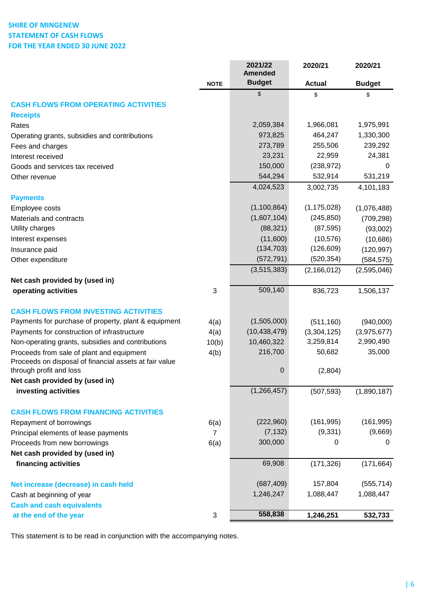# **SHIRE OF MINGENEW STATEMENT OF CASH FLOWS FOR THE YEAR ENDED 30 JUNE 2022**

| <b>Budget</b><br><b>Actual</b><br><b>NOTE</b><br>\$<br>\$<br><b>CASH FLOWS FROM OPERATING ACTIVITIES</b> | <b>Budget</b><br>\$<br>1,975,991<br>1,330,300<br>239,292 |
|----------------------------------------------------------------------------------------------------------|----------------------------------------------------------|
|                                                                                                          |                                                          |
|                                                                                                          |                                                          |
|                                                                                                          |                                                          |
| <b>Receipts</b>                                                                                          |                                                          |
| 2,059,384<br>1,966,081<br>Rates                                                                          |                                                          |
| 973,825<br>464,247<br>Operating grants, subsidies and contributions                                      |                                                          |
| 273,789<br>255,506<br>Fees and charges                                                                   |                                                          |
| 23,231<br>22,959<br>Interest received                                                                    | 24,381                                                   |
| 150,000<br>(238, 972)<br>Goods and services tax received                                                 | 0                                                        |
| 532,914<br>544,294<br>Other revenue                                                                      | 531,219                                                  |
| 4,024,523<br>3,002,735                                                                                   | 4,101,183                                                |
| <b>Payments</b>                                                                                          |                                                          |
| (1,100,864)<br>(1, 175, 028)<br>Employee costs                                                           | (1,076,488)                                              |
| (1,607,104)<br>(245, 850)<br>Materials and contracts                                                     | (709, 298)                                               |
| (88, 321)<br>(87, 595)<br>Utility charges                                                                | (93,002)                                                 |
| (11,600)<br>(10, 576)<br>Interest expenses                                                               | (10,686)                                                 |
| (134, 703)<br>(126, 609)<br>Insurance paid                                                               | (120, 997)                                               |
| (572, 791)<br>(520, 354)<br>Other expenditure                                                            | (584, 575)                                               |
| (3,515,383)<br>(2, 166, 012)                                                                             | (2,595,046)                                              |
| Net cash provided by (used in)                                                                           |                                                          |
| 509,140<br>3<br>836,723<br>operating activities                                                          | 1,506,137                                                |
| <b>CASH FLOWS FROM INVESTING ACTIVITIES</b>                                                              |                                                          |
| Payments for purchase of property, plant & equipment<br>(1,505,000)<br>4(a)<br>(511, 160)                | (940,000)                                                |
| (10, 438, 479)<br>4(a)<br>(3,304,125)<br>Payments for construction of infrastructure                     | (3,975,677)                                              |
| 3,259,814<br>Non-operating grants, subsidies and contributions<br>10,460,322<br>10(b)                    | 2,990,490                                                |
| 216,700<br>50,682<br>4(b)<br>Proceeds from sale of plant and equipment                                   | 35,000                                                   |
| Proceeds on disposal of financial assets at fair value                                                   |                                                          |
| through profit and loss<br>0<br>(2,804)                                                                  |                                                          |
| Net cash provided by (used in)                                                                           |                                                          |
| investing activities<br>(1, 266, 457)<br>(507, 593)                                                      | (1,890,187)                                              |
| <b>CASH FLOWS FROM FINANCING ACTIVITIES</b>                                                              |                                                          |
| (222,960)<br>(161, 995)<br>Repayment of borrowings<br>6(a)                                               | (161, 995)                                               |
| (7, 132)<br>(9, 331)<br>Principal elements of lease payments<br>$\overline{7}$                           | (9,669)                                                  |
| 300,000<br>0<br>Proceeds from new borrowings<br>6(a)                                                     | 0                                                        |
| Net cash provided by (used in)                                                                           |                                                          |
| financing activities<br>69,908<br>(171, 326)                                                             | (171, 664)                                               |
| (687, 409)<br>157,804<br>Net increase (decrease) in cash held                                            | (555, 714)                                               |
| 1,246,247<br>1,088,447<br>Cash at beginning of year                                                      | 1,088,447                                                |
| <b>Cash and cash equivalents</b>                                                                         |                                                          |
| 558,838<br>at the end of the year<br>3<br>1,246,251                                                      | 532,733                                                  |

This statement is to be read in conjunction with the accompanying notes.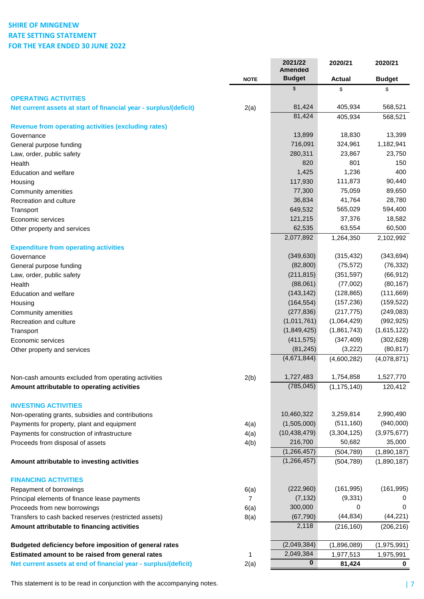# **SHIRE OF MINGENEW RATE SETTING STATEMENT FOR THE YEAR ENDED 30 JUNE 2022**

|                                                                                                 |                        | 2021/22<br><b>Amended</b> | 2020/21       | 2020/21            |
|-------------------------------------------------------------------------------------------------|------------------------|---------------------------|---------------|--------------------|
|                                                                                                 | <b>NOTE</b>            | <b>Budget</b>             | <b>Actual</b> | <b>Budget</b>      |
|                                                                                                 |                        | \$                        | \$            | \$                 |
| <b>OPERATING ACTIVITIES</b>                                                                     |                        |                           | 405,934       |                    |
| Net current assets at start of financial year - surplus/(deficit)                               | 2(a)                   | 81,424<br>81,424          | 405,934       | 568,521<br>568,521 |
| <b>Revenue from operating activities (excluding rates)</b>                                      |                        |                           |               |                    |
| Governance                                                                                      |                        | 13,899                    | 18,830        | 13,399             |
| General purpose funding                                                                         |                        | 716,091                   | 324,961       | 1,182,941          |
| Law, order, public safety                                                                       |                        | 280,311                   | 23,867        | 23,750             |
| Health                                                                                          |                        | 820                       | 801           | 150                |
| Education and welfare                                                                           |                        | 1,425                     | 1,236         | 400                |
| Housing                                                                                         |                        | 117,930                   | 111,873       | 90,440             |
| Community amenities                                                                             |                        | 77,300                    | 75,059        | 89,650             |
| Recreation and culture                                                                          |                        | 36,834                    | 41,764        | 28,780             |
| Transport                                                                                       |                        | 649,532                   | 565,029       | 594,400            |
| Economic services                                                                               |                        | 121,215                   | 37,376        | 18,582             |
| Other property and services                                                                     |                        | 62,535                    | 63,554        | 60,500             |
| <b>Expenditure from operating activities</b>                                                    |                        | 2,077,892                 | 1,264,350     | 2,102,992          |
| Governance                                                                                      |                        | (349, 630)                | (315, 432)    | (343, 694)         |
| General purpose funding                                                                         |                        | (82, 800)                 | (75, 572)     | (76, 332)          |
| Law, order, public safety                                                                       |                        | (211, 815)                | (351, 597)    | (66, 912)          |
| Health                                                                                          |                        | (88,061)                  | (77,002)      | (80, 167)          |
| Education and welfare                                                                           |                        | (143, 142)                | (128, 865)    | (111, 669)         |
| Housing                                                                                         |                        | (164, 554)                | (157, 236)    | (159, 522)         |
| Community amenities                                                                             |                        | (277, 836)                | (217, 775)    | (249, 083)         |
| Recreation and culture                                                                          |                        | (1,011,761)               | (1,064,429)   | (992, 925)         |
| Transport                                                                                       |                        | (1,849,425)               | (1,861,743)   | (1,615,122)        |
| Economic services                                                                               |                        | (411, 575)                | (347, 409)    | (302, 628)         |
| Other property and services                                                                     |                        | (81, 245)                 | (3,222)       | (80, 817)          |
|                                                                                                 |                        | (4,671,844)               | (4,600,282)   | (4,078,871)        |
| Non-cash amounts excluded from operating activities                                             | 2(b)                   | 1,727,483                 | 1,754,858     | 1,527,770          |
| Amount attributable to operating activities                                                     |                        | (785, 045)                | (1, 175, 140) | 120,412            |
|                                                                                                 |                        |                           |               |                    |
| <b>INVESTING ACTIVITIES</b>                                                                     |                        | 10,460,322                | 3,259,814     | 2,990,490          |
| Non-operating grants, subsidies and contributions<br>Payments for property, plant and equipment |                        | (1,505,000)               | (511, 160)    | (940,000)          |
| Payments for construction of infrastructure                                                     | 4(a)<br>4(a)           | (10, 438, 479)            | (3,304,125)   | (3,975,677)        |
| Proceeds from disposal of assets                                                                | 4(b)                   | 216,700                   | 50,682        | 35,000             |
|                                                                                                 |                        | (1, 266, 457)             | (504, 789)    | (1,890,187)        |
| Amount attributable to investing activities                                                     |                        | (1, 266, 457)             | (504, 789)    | (1,890,187)        |
|                                                                                                 |                        |                           |               |                    |
| <b>FINANCING ACTIVITIES</b>                                                                     |                        |                           | (161, 995)    | (161, 995)         |
| Repayment of borrowings                                                                         | 6(a)<br>$\overline{7}$ | (222,960)<br>(7, 132)     | (9, 331)      |                    |
| Principal elements of finance lease payments<br>Proceeds from new borrowings                    | 6(a)                   | 300,000                   | 0             | 0                  |
| Transfers to cash backed reserves (restricted assets)                                           | 8(a)                   | (67, 790)                 | (44, 834)     | (44, 221)          |
| Amount attributable to financing activities                                                     |                        | 2,118                     | (216, 160)    | (206, 216)         |
|                                                                                                 |                        |                           |               |                    |
| Budgeted deficiency before imposition of general rates                                          |                        | (2,049,384)               | (1,896,089)   | (1,975,991)        |
| Estimated amount to be raised from general rates                                                |                        | 2,049,384                 | 1,977,513     | 1,975,991          |
| Net current assets at end of financial year - surplus/(deficit)                                 | 2(a)                   | $\bf{0}$                  | 81,424        | 0                  |

This statement is to be read in conjunction with the accompanying notes.  $|7$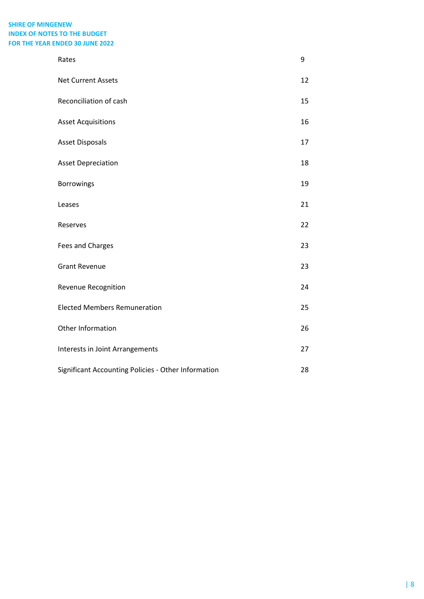## **SHIRE OF MINGENEW INDEX OF NOTES TO THE BUDGET FOR THE YEAR ENDED 30 JUNE 2022**

| Rates                                               | 9  |
|-----------------------------------------------------|----|
| <b>Net Current Assets</b>                           | 12 |
| Reconciliation of cash                              | 15 |
| <b>Asset Acquisitions</b>                           | 16 |
| <b>Asset Disposals</b>                              | 17 |
| <b>Asset Depreciation</b>                           | 18 |
| Borrowings                                          | 19 |
| Leases                                              | 21 |
| Reserves                                            | 22 |
| Fees and Charges                                    | 23 |
| <b>Grant Revenue</b>                                | 23 |
| Revenue Recognition                                 | 24 |
| <b>Elected Members Remuneration</b>                 | 25 |
| Other Information                                   | 26 |
| Interests in Joint Arrangements                     | 27 |
| Significant Accounting Policies - Other Information | 28 |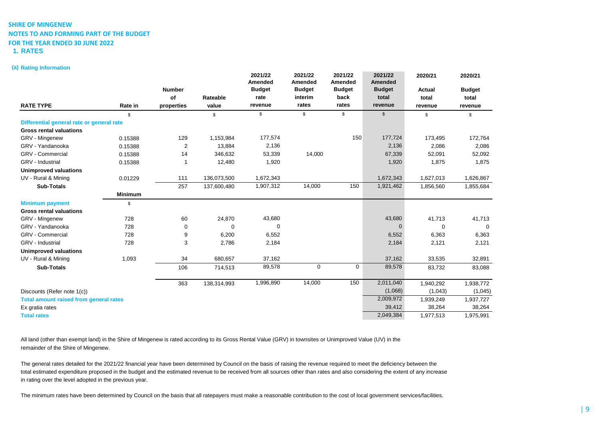## **SHIRE OF MINGENEW NOTES TO AND FORMING PART OF THE BUDGET FOR THE YEAR ENDED 30 JUNE 2022 1. RATES**

### **(a) Rating Information**

| <b>RATE TYPE</b>                              | Rate in        | <b>Number</b><br>of | Rateable<br>value | 2021/22<br>Amended<br><b>Budget</b><br>rate<br>revenue | 2021/22<br>Amended<br><b>Budget</b><br>interim<br>rates | 2021/22<br>Amended<br><b>Budget</b><br>back<br>rates | 2021/22<br><b>Amended</b><br><b>Budget</b><br>total<br>revenue | 2020/21<br>Actual<br>total | 2020/21<br><b>Budget</b><br>total |
|-----------------------------------------------|----------------|---------------------|-------------------|--------------------------------------------------------|---------------------------------------------------------|------------------------------------------------------|----------------------------------------------------------------|----------------------------|-----------------------------------|
|                                               | \$             | properties          | \$                | \$                                                     | \$                                                      | \$                                                   | \$                                                             | revenue<br>\$              | revenue<br>\$                     |
| Differential general rate or general rate     |                |                     |                   |                                                        |                                                         |                                                      |                                                                |                            |                                   |
| <b>Gross rental valuations</b>                |                |                     |                   |                                                        |                                                         |                                                      |                                                                |                            |                                   |
| GRV - Mingenew                                | 0.15388        | 129                 | 1,153,984         | 177,574                                                |                                                         | 150                                                  | 177,724                                                        | 173,495                    | 172,764                           |
| GRV - Yandanooka                              | 0.15388        | $\overline{2}$      | 13,884            | 2,136                                                  |                                                         |                                                      | 2,136                                                          | 2,086                      | 2,086                             |
| <b>GRV</b> - Commercial                       | 0.15388        | 14                  | 346,632           | 53,339                                                 | 14,000                                                  |                                                      | 67,339                                                         | 52,091                     | 52,092                            |
| <b>GRV</b> - Industrial                       | 0.15388        |                     | 12,480            | 1,920                                                  |                                                         |                                                      | 1,920                                                          | 1,875                      | 1,875                             |
| <b>Unimproved valuations</b>                  |                |                     |                   |                                                        |                                                         |                                                      |                                                                |                            |                                   |
| UV - Rural & Mining                           | 0.01229        | 111                 | 136,073,500       | 1,672,343                                              |                                                         |                                                      | 1,672,343                                                      | 1,627,013                  | 1,626,867                         |
| <b>Sub-Totals</b>                             |                | 257                 | 137,600,480       | 1,907,312                                              | 14,000                                                  | 150                                                  | 1,921,462                                                      | 1,856,560                  | 1,855,684                         |
|                                               | <b>Minimum</b> |                     |                   |                                                        |                                                         |                                                      |                                                                |                            |                                   |
| <b>Minimum payment</b>                        | \$             |                     |                   |                                                        |                                                         |                                                      |                                                                |                            |                                   |
| <b>Gross rental valuations</b>                |                |                     |                   |                                                        |                                                         |                                                      |                                                                |                            |                                   |
| GRV - Mingenew                                | 728            | 60                  | 24,870            | 43,680                                                 |                                                         |                                                      | 43,680                                                         | 41,713                     | 41,713                            |
| GRV - Yandanooka                              | 728            | $\mathbf 0$         | $\Omega$          | $\Omega$                                               |                                                         |                                                      | $\Omega$                                                       | $\Omega$                   | $\mathbf 0$                       |
| <b>GRV</b> - Commercial                       | 728            | 9                   | 6,200             | 6,552                                                  |                                                         |                                                      | 6,552                                                          | 6,363                      | 6,363                             |
| <b>GRV</b> - Industrial                       | 728            | 3                   | 2,786             | 2,184                                                  |                                                         |                                                      | 2,184                                                          | 2,121                      | 2,121                             |
| <b>Unimproved valuations</b>                  |                |                     |                   |                                                        |                                                         |                                                      |                                                                |                            |                                   |
| UV - Rural & Mining                           | 1,093          | 34                  | 680,657           | 37,162                                                 |                                                         |                                                      | 37,162                                                         | 33,535                     | 32,891                            |
| <b>Sub-Totals</b>                             |                | 106                 | 714,513           | 89,578                                                 | $\Omega$                                                | $\Omega$                                             | 89,578                                                         | 83,732                     | 83,088                            |
|                                               |                | 363                 | 138,314,993       | 1,996,890                                              | 14,000                                                  | 150                                                  | 2,011,040                                                      | 1,940,292                  | 1,938,772                         |
| Discounts (Refer note 1(c))                   |                |                     |                   |                                                        |                                                         |                                                      | (1,068)                                                        | (1,043)                    | (1,045)                           |
| <b>Total amount raised from general rates</b> |                |                     |                   |                                                        |                                                         |                                                      | 2,009,972                                                      | 1,939,249                  | 1,937,727                         |
| Ex gratia rates                               |                |                     |                   |                                                        |                                                         |                                                      | 39,412                                                         | 38,264                     | 38,264                            |
| <b>Total rates</b>                            |                |                     |                   |                                                        |                                                         |                                                      | 2,049,384                                                      | 1,977,513                  | 1,975,991                         |

All land (other than exempt land) in the Shire of Mingenew is rated according to its Gross Rental Value (GRV) in townsites or Unimproved Value (UV) in the remainder of the Shire of Mingenew.

The general rates detailed for the 2021/22 financial year have been determined by Council on the basis of raising the revenue required to meet the deficiency between the total estimated expenditure proposed in the budget and the estimated revenue to be received from all sources other than rates and also considering the extent of any increase in rating over the level adopted in the previous year.

The minimum rates have been determined by Council on the basis that all ratepayers must make a reasonable contribution to the cost of local government services/facilities.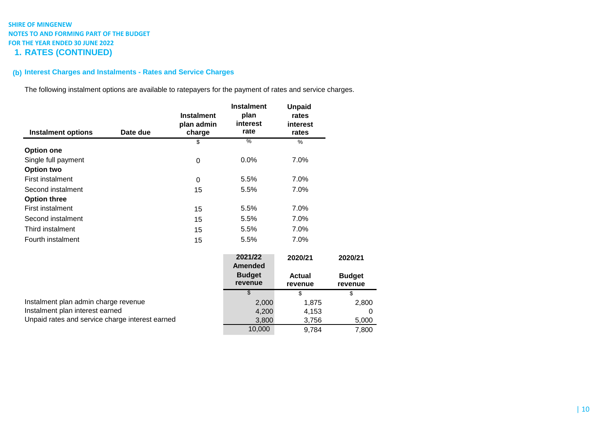## **SHIRE OF MINGENEW NOTES TO AND FORMING PART OF THE BUDGET FOR THE YEAR ENDED 30 JUNE 2022 1. RATES (CONTINUED)**

## **(b) Interest Charges and Instalments - Rates and Service Charges**

The following instalment options are available to ratepayers for the payment of rates and service charges.

| <b>Instalment options</b>                       | Date due | <b>Instalment</b><br>plan admin<br>charge | <b>Instalment</b><br>plan<br>interest<br>rate | <b>Unpaid</b><br>rates<br>interest<br>rates |                          |
|-------------------------------------------------|----------|-------------------------------------------|-----------------------------------------------|---------------------------------------------|--------------------------|
|                                                 |          | \$                                        | $\%$                                          | $\%$                                        |                          |
| <b>Option one</b>                               |          |                                           |                                               |                                             |                          |
| Single full payment                             |          | 0                                         | 0.0%                                          | 7.0%                                        |                          |
| <b>Option two</b>                               |          |                                           |                                               |                                             |                          |
| First instalment                                |          | $\Omega$                                  | 5.5%                                          | 7.0%                                        |                          |
| Second instalment                               |          | 15                                        | 5.5%                                          | 7.0%                                        |                          |
| <b>Option three</b>                             |          |                                           |                                               |                                             |                          |
| First instalment                                |          | 15                                        | 5.5%                                          | 7.0%                                        |                          |
| Second instalment                               |          | 15                                        | 5.5%                                          | 7.0%                                        |                          |
| Third instalment                                |          | 15                                        | 5.5%                                          | 7.0%                                        |                          |
| Fourth instalment                               |          | 15                                        | 5.5%                                          | 7.0%                                        |                          |
|                                                 |          |                                           | 2021/22<br>Amended                            | 2020/21                                     | 2020/21                  |
|                                                 |          |                                           | <b>Budget</b><br>revenue                      | <b>Actual</b><br>revenue                    | <b>Budget</b><br>revenue |
|                                                 |          |                                           | \$                                            | \$                                          | \$                       |
| Instalment plan admin charge revenue            |          |                                           | 2,000                                         | 1,875                                       | 2,800                    |
| Instalment plan interest earned                 |          |                                           | 4,200                                         | 4,153                                       | 0                        |
| Unpaid rates and service charge interest earned |          |                                           | 3,800                                         | 3,756                                       | 5,000                    |
|                                                 |          |                                           | 10,000                                        | 9,784                                       | 7,800                    |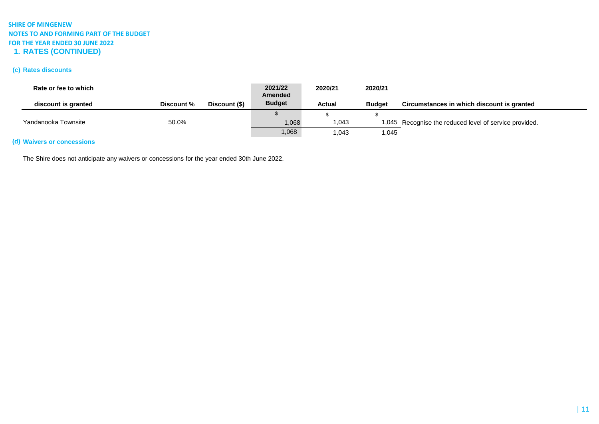## **SHIRE OF MINGENEW NOTES TO AND FORMING PART OF THE BUDGET FOR THE YEAR ENDED 30 JUNE 2022 1. RATES (CONTINUED)**

## **(c) Rates discounts**

| Rate or fee to which |            |               | 2021/22<br><b>Amended</b> | 2020/21 | 2020/21       |                                                        |
|----------------------|------------|---------------|---------------------------|---------|---------------|--------------------------------------------------------|
| discount is granted  | Discount % | Discount (\$) | <b>Budget</b>             | Actual  | <b>Budget</b> | Circumstances in which discount is granted             |
|                      |            |               |                           |         |               |                                                        |
| Yandanooka Townsite  | 50.0%      |               | 1,068                     | 1.043   |               | 1,045 Recognise the reduced level of service provided. |
|                      |            |               | 0,068                     | 1.043   | .045          |                                                        |

## **(d) Waivers or concessions**

The Shire does not anticipate any waivers or concessions for the year ended 30th June 2022.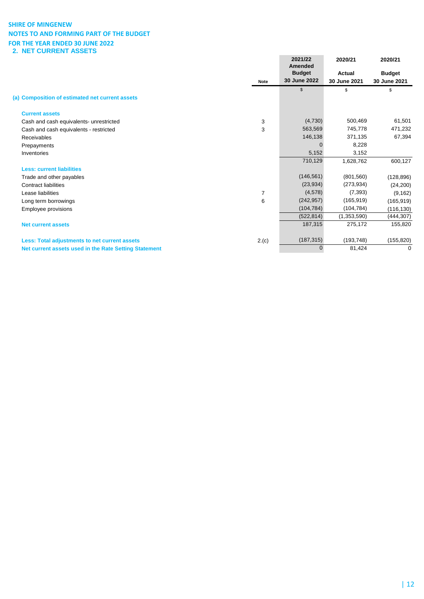## **SHIRE OF MINGENEW NOTES TO AND FORMING PART OF THE BUDGET FOR THE YEAR ENDED 30 JUNE 2022 2. NET CURRENT ASSETS**

|                                                       |             | 2021/22<br><b>Amended</b> | 2020/21      | 2020/21       |
|-------------------------------------------------------|-------------|---------------------------|--------------|---------------|
|                                                       |             | <b>Budget</b>             | Actual       | <b>Budget</b> |
|                                                       | <b>Note</b> | 30 June 2022              | 30 June 2021 | 30 June 2021  |
|                                                       |             | $\boldsymbol{\mathsf{S}}$ | \$           | \$            |
| (a) Composition of estimated net current assets       |             |                           |              |               |
| <b>Current assets</b>                                 |             |                           |              |               |
| Cash and cash equivalents- unrestricted               | 3           | (4,730)                   | 500,469      | 61,501        |
| Cash and cash equivalents - restricted                | 3           | 563,569                   | 745,778      | 471,232       |
| Receivables                                           |             | 146,138                   | 371,135      | 67,394        |
| Prepayments                                           |             | 0                         | 8,228        |               |
| Inventories                                           |             | 5,152                     | 3,152        |               |
|                                                       |             | 710,129                   | 1,628,762    | 600,127       |
| <b>Less: current liabilities</b>                      |             |                           |              |               |
| Trade and other payables                              |             | (146, 561)                | (801, 560)   | (128, 896)    |
| <b>Contract liabilities</b>                           |             | (23, 934)                 | (273, 934)   | (24, 200)     |
| Lease liabilities                                     |             | (4, 578)                  | (7, 393)     | (9, 162)      |
| Long term borrowings                                  | 6           | (242, 957)                | (165, 919)   | (165, 919)    |
| Employee provisions                                   |             | (104, 784)                | (104, 784)   | (116, 130)    |
|                                                       |             | (522, 814)                | (1,353,590)  | (444, 307)    |
| <b>Net current assets</b>                             |             | 187,315                   | 275,172      | 155,820       |
| Less: Total adjustments to net current assets         | 2.(c)       | (187, 315)                | (193, 748)   | (155, 820)    |
| Net current assets used in the Rate Setting Statement |             | $\mathbf{0}$              | 81,424       | 0             |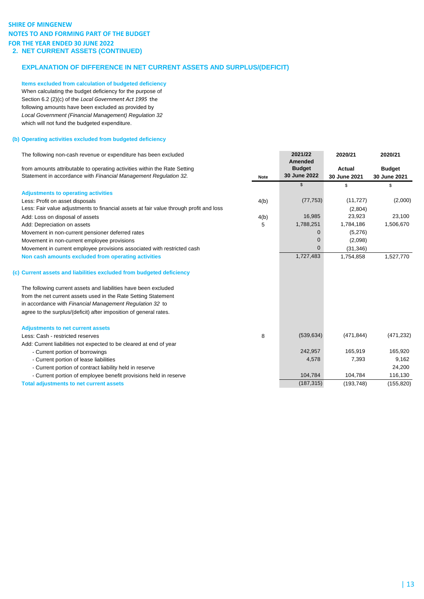## **SHIRE OF MINGENEW NOTES TO AND FORMING PART OF THE BUDGET FOR THE YEAR ENDED 30 JUNE 2022 2. NET CURRENT ASSETS (CONTINUED)**

## **EXPLANATION OF DIFFERENCE IN NET CURRENT ASSETS AND SURPLUS/(DEFICIT)**

**Items excluded from calculation of budgeted deficiency** When calculating the budget deficiency for the purpose of Section 6.2 (2)(c) of the *Local Government Act 1995* the following amounts have been excluded as provided by

*Local Government (Financial Management) Regulation 32*  which will not fund the budgeted expenditure.

## **(b) Operating activities excluded from budgeted deficiency**

| The following non-cash revenue or expenditure has been excluded                        |             | 2021/22<br>Amended | 2020/21       | 2020/21       |
|----------------------------------------------------------------------------------------|-------------|--------------------|---------------|---------------|
| from amounts attributable to operating activities within the Rate Setting              |             | <b>Budget</b>      | <b>Actual</b> | <b>Budget</b> |
| Statement in accordance with Financial Management Regulation 32.                       | <b>Note</b> | 30 June 2022       | 30 June 2021  | 30 June 2021  |
|                                                                                        |             | \$                 | \$            | \$            |
| <b>Adjustments to operating activities</b>                                             |             |                    |               |               |
| Less: Profit on asset disposals                                                        | 4(b)        | (77, 753)          | (11, 727)     | (2,000)       |
| Less: Fair value adjustments to financial assets at fair value through profit and loss |             |                    | (2,804)       |               |
| Add: Loss on disposal of assets                                                        | 4(b)        | 16,985             | 23,923        | 23,100        |
| Add: Depreciation on assets                                                            | 5           | 1,788,251          | 1,784,186     | 1,506,670     |
| Movement in non-current pensioner deferred rates                                       |             | $\Omega$           | (5,276)       |               |
| Movement in non-current employee provisions                                            |             | $\mathbf 0$        | (2,098)       |               |
| Movement in current employee provisions associated with restricted cash                |             | $\mathbf 0$        | (31, 346)     |               |
| Non cash amounts excluded from operating activities                                    |             | 1,727,483          | 1,754,858     | 1,527,770     |
| (c) Current assets and liabilities excluded from budgeted deficiency                   |             |                    |               |               |
| The following current assets and liabilities have been excluded                        |             |                    |               |               |
| from the net current assets used in the Rate Setting Statement                         |             |                    |               |               |
| in accordance with Financial Management Regulation 32 to                               |             |                    |               |               |
| agree to the surplus/(deficit) after imposition of general rates.                      |             |                    |               |               |
| <b>Adjustments to net current assets</b>                                               |             |                    |               |               |
| Less: Cash - restricted reserves                                                       | 8           | (539, 634)         | (471, 844)    | (471, 232)    |
| Add: Current liabilities not expected to be cleared at end of year                     |             |                    |               |               |
| - Current portion of borrowings                                                        |             | 242,957            | 165.919       | 165,920       |
| - Current portion of lease liabilities                                                 |             | 4,578              | 7,393         | 9,162         |
| - Current portion of contract liability held in reserve                                |             |                    |               | 24,200        |
| - Current portion of employee benefit provisions held in reserve                       |             | 104,784            | 104,784       | 116,130       |
| <b>Total adjustments to net current assets</b>                                         |             | (187, 315)         | (193, 748)    | (155, 820)    |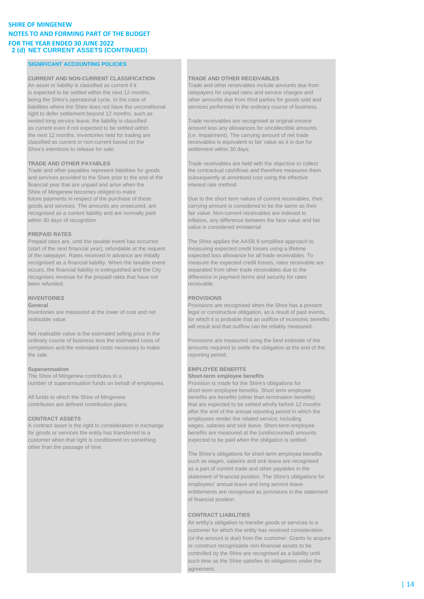## **SHIRE OF MINGENEW NOTES TO AND FORMING PART OF THE BUDGET FOR THE YEAR ENDED 30 JUNE 2022 2 (d) NET CURRENT ASSETS (CONTINUED)**

### **SIGNIFICANT ACCOUNTING POLICIES**

### **CURRENT AND NON-CURRENT CLASSIFICATION TRADE AND OTHER RECEIVABLES**

An asset or liability is classified as current if it Trade and other receivables include amounts due from is expected to be settled within the next 12 months. The rate of the rate of the number of rates and service charges and being the Shire's operational cycle. In the case of **other amounts due from third parties for goods sold and** liabilities where the Shire does not have the unconditional services performed in the ordinary course of business. right to defer settlement beyond 12 months, such as<br>vested long service leave, the liability is classified as current even if not expected to be settled within amount less any allowances for uncollectible amounts the next 12 months. Inventories held for trading are (i.e. impairment). The carrying amount of net trade classified as current or non-current based on the receivables is equivalent to fair value as it is due for Shire's intentions to release for sale. Shire's intentions to release for sale.

and services provided to the Shire prior to the end of the subsequently at amortised cost using the effective<br>
financial year that are unpaid and arise when the subsequently at amortised cost using the effective financial year that are unpaid and arise when the Shire of Mingenew becomes obliged to make future payments in respect of the purchase of these Due to the short term nature of current receivables, their goods and services. The amounts are unsecured, are carrying amount is considered to be the same as their recognised as a current liability and are normally paid fair value. Non-current receivables are indexed to within 30 days of recognition. inflation, any difference between the face value and fair

### **PREPAID RATES**

(start of the next financial year), refundable at the request measuring expected credit losses using a lifetime of the ratepayer. Rates received in advance are initially expected loss allowance for all trade receivables. To recognised as a financial liability. When the taxable event measure the expected credit losses, rates receivable are occurs, the financial liability is extinguished and the City separated from other trade receivables due t occurs, the financial liability is extinguished and the City recognises revenue for the prepaid rates that have not difference in payment terms and security for rates been refunded. The contract of the contract of the contract of the contract of the contract of the contract of

### **INVENTORIES PROVISIONS**

Net realisable value is the estimated selling price in the ordinary course of business less the estimated costs of Provisions are measured using the best estimate of the the sale. The sale of the sale of the sale of the sale of the sale of the sale of the sale of the sale of the sale of the sale of the sale of the sale of the sale of the sale of the sale of the sale of the sale of the sale

The Shire of Mingenew contributes to a **Short-term employee benefits**  number of superannuation funds on behalf of employees. Provision is made for the Shire's obligations for

for goods or services the entity has transferred to a benefits are measured at the (undiscounted) amounts customer when that right is conditioned on something expected to be paid when the obligation is settled. other than the passage of time.

Trade receivables are recognised at original invoice

**TRADE AND OTHER PAYABLES** Trade receivables are held with the objective to collect<br>Trade and other payables represent liabilities for goods the contractual cashflows and therefore measures then the contractual cashflows and therefore measures them

value is considered immaterial.

Prepaid rates are, until the taxable event has occurred The Shire applies the AASB 9 simplified approach to

**General** Provisions are recognised when the Shire has a present Inventories are measured at the lower of cost and net legal or constructive obligation, as a result of past events, realisable value. for which it is probable that an outflow of economic benefits will result and that outflow can be reliably measured.

completion and the estimated costs necessary to make amounts required to settle the obligation at the end of the

# **Superannuation EMPLOYEE BENEFITS**

short-term employee benefits. Short term employee All funds to which the Shire of Mingenew benefits are benefits (other than termination benefits) contributes are defined contribution plans. that are expected to be settled wholly before 12 months after the end of the annual reporting period in which the **CONTRACT ASSETS** employees render the related service, including A contract asset is the right to consideration in exchange wages, salaries and sick leave. Short-term employee

> The Shire's obligations for short-term employee benefits such as wages, salaries and sick leave are recognised as a part of current trade and other payables in the statement of financial position. The Shire's obligations for employees' annual leave and long service leave entitlements are recognised as provisions in the statement of financial position.

### **CONTRACT LIABILITIES**

An entity's obligation to transfer goods or services to a customer for which the entity has received consideration (or the amount is due) from the customer. Grants to acquire or construct recognisable non-financial assets to be controlled by the Shire are recognised as a liability until such time as the Shire satisfies its obligations under the agreement.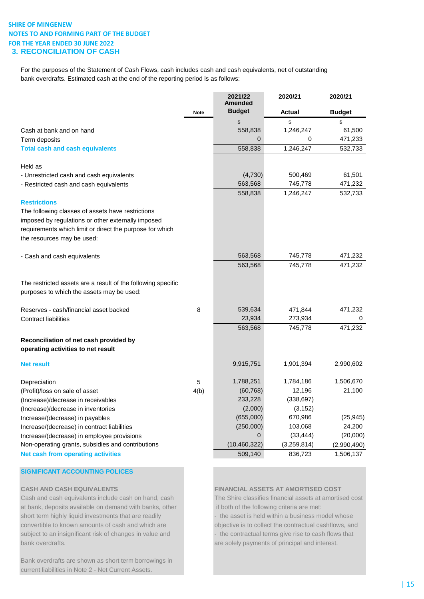## **SHIRE OF MINGENEW NOTES TO AND FORMING PART OF THE BUDGET FOR THE YEAR ENDED 30 JUNE 2022 3. RECONCILIATION OF CASH**

For the purposes of the Statement of Cash Flows, cash includes cash and cash equivalents, net of outstanding bank overdrafts. Estimated cash at the end of the reporting period is as follows:

|                                                              |             | 2021/22<br><b>Amended</b> | 2020/21       | 2020/21       |
|--------------------------------------------------------------|-------------|---------------------------|---------------|---------------|
|                                                              | <b>Note</b> | <b>Budget</b>             | <b>Actual</b> | <b>Budget</b> |
|                                                              |             | \$                        | \$            | \$            |
| Cash at bank and on hand                                     |             | 558,838                   | 1,246,247     | 61,500        |
| Term deposits                                                |             | 0                         | 0             | 471,233       |
| <b>Total cash and cash equivalents</b>                       |             | 558,838                   | 1,246,247     | 532,733       |
| Held as                                                      |             |                           |               |               |
| - Unrestricted cash and cash equivalents                     |             | (4,730)                   | 500,469       | 61,501        |
| - Restricted cash and cash equivalents                       |             | 563,568                   | 745,778       | 471,232       |
|                                                              |             | 558,838                   | 1,246,247     | 532,733       |
| <b>Restrictions</b>                                          |             |                           |               |               |
| The following classes of assets have restrictions            |             |                           |               |               |
| imposed by regulations or other externally imposed           |             |                           |               |               |
| requirements which limit or direct the purpose for which     |             |                           |               |               |
| the resources may be used:                                   |             |                           |               |               |
| - Cash and cash equivalents                                  |             | 563,568                   | 745,778       | 471,232       |
|                                                              |             | 563,568                   | 745,778       | 471,232       |
| The restricted assets are a result of the following specific |             |                           |               |               |
| purposes to which the assets may be used:                    |             |                           |               |               |
|                                                              |             |                           |               |               |
| Reserves - cash/financial asset backed                       | 8           | 539,634                   | 471,844       | 471,232       |
| <b>Contract liabilities</b>                                  |             | 23,934                    | 273,934       | 0             |
|                                                              |             | 563,568                   | 745,778       | 471,232       |
| Reconciliation of net cash provided by                       |             |                           |               |               |
| operating activities to net result                           |             |                           |               |               |
| <b>Net result</b>                                            |             | 9,915,751                 | 1,901,394     | 2,990,602     |
| Depreciation                                                 | 5           | 1,788,251                 | 1,784,186     | 1,506,670     |
| (Profit)/loss on sale of asset                               | 4(b)        | (60, 768)                 | 12,196        | 21,100        |
| (Increase)/decrease in receivables                           |             | 233,228                   | (338, 697)    |               |
| (Increase)/decrease in inventories                           |             | (2,000)                   | (3, 152)      |               |
| Increase/(decrease) in payables                              |             | (655,000)                 | 670,986       | (25, 945)     |
| Increase/(decrease) in contract liabilities                  |             | (250,000)                 | 103,068       | 24,200        |
| Increase/(decrease) in employee provisions                   |             | $\Omega$                  | (33, 444)     | (20,000)      |
| Non-operating grants, subsidies and contributions            |             | (10, 460, 322)            | (3,259,814)   | (2,990,490)   |
| Net cash from operating activities                           |             | 509,140                   | 836,723       | 1,506,137     |
|                                                              |             |                           |               |               |

## **SIGNIFICANT ACCOUNTING POLICES**

Cash and cash equivalents include cash on hand, cash The Shire classifies financial assets at amortised cost at bank, deposits available on demand with banks, other if both of the following criteria are met: short term highly liquid investments that are readily - the asset is held within a business model whose convertible to known amounts of cash and which are objective is to collect the contractual cashflows, and subject to an insignificant risk of changes in value and - the contractual terms give rise to cash flows that bank overdrafts. are solely payments of principal and interest.

Bank overdrafts are shown as short term borrowings in current liabilities in Note 2 - Net Current Assets.

## **CASH AND CASH EQUIVALENTS FINANCIAL ASSETS AT AMORTISED COST**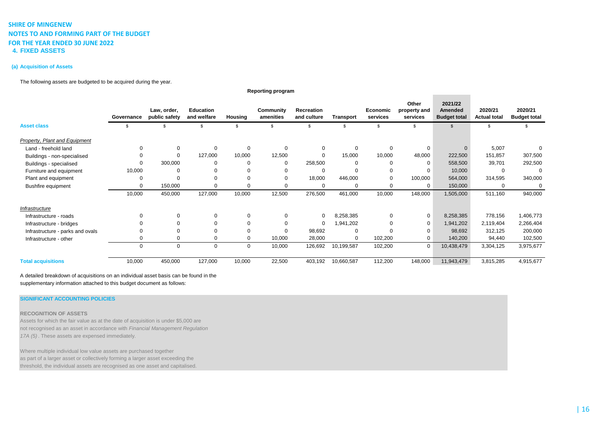## **SHIRE OF MINGENEW NOTES TO AND FORMING PART OF THE BUDGET FOR THE YEAR ENDED 30 JUNE 2022 4. FIXED ASSETS**

### **(a) Acquisition of Assets**

The following assets are budgeted to be acquired during the year.

| Reporting program                    |            |                              |                                 |             |                        |                                  |                  |                      |                                   |                                                  |                                |                                |
|--------------------------------------|------------|------------------------------|---------------------------------|-------------|------------------------|----------------------------------|------------------|----------------------|-----------------------------------|--------------------------------------------------|--------------------------------|--------------------------------|
|                                      | Governance | Law, order,<br>public safety | <b>Education</b><br>and welfare | Housing     | Community<br>amenities | <b>Recreation</b><br>and culture | <b>Transport</b> | Economic<br>services | Other<br>property and<br>services | 2021/22<br><b>Amended</b><br><b>Budget total</b> | 2020/21<br><b>Actual total</b> | 2020/21<br><b>Budget total</b> |
| <b>Asset class</b>                   | S          | \$                           | \$.                             | \$.         | \$.                    | - \$                             |                  | \$                   | \$                                | $\mathfrak{L}$                                   |                                |                                |
| <b>Property, Plant and Equipment</b> |            |                              |                                 |             |                        |                                  |                  |                      |                                   |                                                  |                                |                                |
| Land - freehold land                 | 0          | $\mathbf 0$                  | $\mathbf 0$                     | $\mathbf 0$ | $\mathbf 0$            | $\mathbf 0$                      | 0                | $\mathbf 0$          | $\mathbf 0$                       | $\Omega$                                         | 5,007                          |                                |
| Buildings - non-specialised          | $\Omega$   | $\Omega$                     | 127,000                         | 10,000      | 12,500                 | $\Omega$                         | 15,000           | 10,000               | 48,000                            | 222,500                                          | 151,857                        | 307,500                        |
| Buildings - specialised              | 0          | 300,000                      | $\Omega$                        | 0           | 0                      | 258,500                          | 0                | 0                    | $\Omega$                          | 558,500                                          | 39,701                         | 292,500                        |
| Furniture and equipment              | 10,000     |                              | $\Omega$                        | 0           | 0                      | $\Omega$                         | 0                | 0                    | 0                                 | 10,000                                           | $\Omega$                       | $\Omega$                       |
| Plant and equipment                  | 0          | $\Omega$                     | $\Omega$                        | $\mathbf 0$ | 0                      | 18,000                           | 446,000          | 0                    | 100,000                           | 564,000                                          | 314,595                        | 340,000                        |
| Bushfire equipment                   | 0          | 150,000                      | $\Omega$                        | $\Omega$    | 0                      | 0                                | 0                | 0                    | $\mathbf{0}$                      | 150,000                                          | $\Omega$                       | $\Omega$                       |
|                                      | 10,000     | 450,000                      | 127,000                         | 10,000      | 12,500                 | 276,500                          | 461,000          | 10,000               | 148,000                           | 1,505,000                                        | 511,160                        | 940,000                        |
| Infrastructure                       |            |                              |                                 |             |                        |                                  |                  |                      |                                   |                                                  |                                |                                |
| Infrastructure - roads               | $\Omega$   | $\Omega$                     | $\Omega$                        | 0           | 0                      | 0                                | 8,258,385        | 0                    | 0                                 | 8,258,385                                        | 778,156                        | 1,406,773                      |
| Infrastructure - bridges             |            | $\Omega$                     | $\Omega$                        | 0           | 0                      | 0                                | 1,941,202        | 0                    | 0                                 | 1,941,202                                        | 2,119,404                      | 2,266,404                      |
| Infrastructure - parks and ovals     | 0          | $\Omega$                     | $\Omega$                        | $\Omega$    | $\Omega$               | 98,692                           | 0                | $\Omega$             | 0                                 | 98,692                                           | 312,125                        | 200,000                        |
| Infrastructure - other               | 0          | 0                            | 0                               | 0           | 10,000                 | 28,000                           | 0                | 102,200              | 0                                 | 140,200                                          | 94,440                         | 102,500                        |
|                                      | $\Omega$   | $\mathbf 0$                  | $\Omega$                        | $\mathbf 0$ | 10,000                 | 126,692                          | 10,199,587       | 102,200              | 0                                 | 10,438,479                                       | 3,304,125                      | 3,975,677                      |
| <b>Total acquisitions</b>            | 10,000     | 450,000                      | 127,000                         | 10,000      | 22,500                 | 403,192                          | 10,660,587       | 112,200              | 148,000                           | 11,943,479                                       | 3,815,285                      | 4,915,677                      |

A detailed breakdown of acquisitions on an individual asset basis can be found in the supplementary information attached to this budget document as follows:

### **SIGNIFICANT ACCOUNTING POLICIES**

### **RECOGNITION OF ASSETS**

Assets for which the fair value as at the date of acquisition is under \$5,000 are not recognised as an asset in accordance with *Financial Management Regulation 17A (5)*. These assets are expensed immediately.

Where multiple individual low value assets are purchased together as part of a larger asset or collectively forming a larger asset exceeding the threshold, the individual assets are recognised as one asset and capitalised.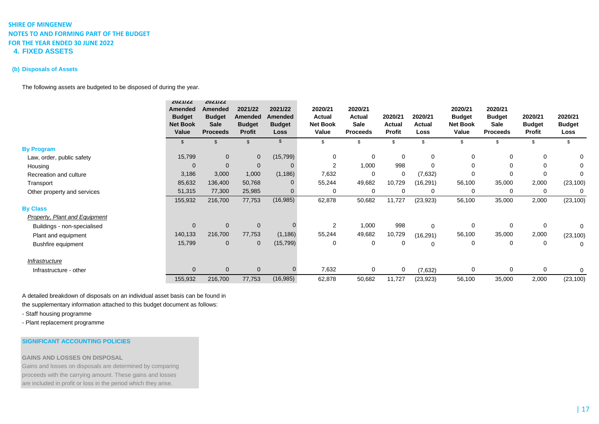## **SHIRE OF MINGENEW NOTES TO AND FORMING PART OF THE BUDGET FOR THE YEAR ENDED 30 JUNE 2022 4. FIXED ASSETS**

### **(b) Disposals of Assets**

The following assets are budgeted to be disposed of during the year.

|                                      | ZUZIIZZ<br><b>Amended</b><br><b>Budget</b><br><b>Net Book</b><br>Value | <b>ZUZ1122</b><br><b>Amended</b><br><b>Budget</b><br><b>Sale</b><br><b>Proceeds</b> | 2021/22<br>Amended<br><b>Budget</b><br><b>Profit</b> | 2021/22<br>Amended<br><b>Budget</b><br><b>Loss</b> | 2020/21<br><b>Actual</b><br><b>Net Book</b><br>Value | 2020/21<br><b>Actual</b><br>Sale<br><b>Proceeds</b> | 2020/21<br>Actual<br><b>Profit</b> | 2020/21<br>Actual<br><b>Loss</b> | 2020/21<br><b>Budget</b><br><b>Net Book</b><br>Value | 2020/21<br><b>Budget</b><br>Sale<br><b>Proceeds</b> | 2020/21<br><b>Budget</b><br>Profit | 2020/21<br><b>Budget</b><br>Loss |
|--------------------------------------|------------------------------------------------------------------------|-------------------------------------------------------------------------------------|------------------------------------------------------|----------------------------------------------------|------------------------------------------------------|-----------------------------------------------------|------------------------------------|----------------------------------|------------------------------------------------------|-----------------------------------------------------|------------------------------------|----------------------------------|
|                                      |                                                                        |                                                                                     |                                                      |                                                    |                                                      |                                                     |                                    |                                  |                                                      |                                                     |                                    |                                  |
| <b>By Program</b>                    |                                                                        |                                                                                     |                                                      |                                                    |                                                      |                                                     |                                    |                                  |                                                      |                                                     |                                    |                                  |
| Law, order, public safety            | 15,799                                                                 | $\mathbf 0$                                                                         | $\mathbf 0$                                          | (15, 799)                                          | 0                                                    | 0                                                   | $\mathbf 0$                        | $\mathbf 0$                      | 0                                                    | 0                                                   | 0                                  |                                  |
| Housing                              | $\overline{0}$                                                         | $\mathbf 0$                                                                         | $\mathbf 0$                                          |                                                    | $\overline{2}$                                       | 1,000                                               | 998                                | $\Omega$                         | $\Omega$                                             |                                                     | $\Omega$                           |                                  |
| Recreation and culture               | 3,186                                                                  | 3,000                                                                               | 1,000                                                | (1, 186)                                           | 7,632                                                | 0                                                   | $\mathbf 0$                        | (7,632)                          | 0                                                    |                                                     | 0                                  |                                  |
| Transport                            | 85,632                                                                 | 136,400                                                                             | 50,768                                               | 0                                                  | 55,244                                               | 49,682                                              | 10,729                             | (16, 291)                        | 56,100                                               | 35,000                                              | 2,000                              | (23, 100)                        |
| Other property and services          | 51,315                                                                 | 77,300                                                                              | 25,985                                               | 0                                                  | 0                                                    | 0                                                   | 0                                  | $\Omega$                         | 0                                                    | 0                                                   | 0                                  |                                  |
|                                      | 155,932                                                                | 216,700                                                                             | 77,753                                               | (16, 985)                                          | 62,878                                               | 50,682                                              | 11,727                             | (23, 923)                        | 56,100                                               | 35,000                                              | 2,000                              | (23, 100)                        |
| <b>By Class</b>                      |                                                                        |                                                                                     |                                                      |                                                    |                                                      |                                                     |                                    |                                  |                                                      |                                                     |                                    |                                  |
| <b>Property, Plant and Equipment</b> |                                                                        |                                                                                     |                                                      |                                                    |                                                      |                                                     |                                    |                                  |                                                      |                                                     |                                    |                                  |
| Buildings - non-specialised          | $\Omega$                                                               | $\mathbf{0}$                                                                        | $\mathbf 0$                                          |                                                    | $\overline{2}$                                       | 1,000                                               | 998                                | $\Omega$                         | 0                                                    | 0                                                   | 0                                  | 0                                |
| Plant and equipment                  | 140,133                                                                | 216,700                                                                             | 77,753                                               | (1, 186)                                           | 55,244                                               | 49,682                                              | 10,729                             | (16, 291)                        | 56,100                                               | 35,000                                              | 2,000                              | (23, 100)                        |
| Bushfire equipment                   | 15,799                                                                 | $\mathbf 0$                                                                         | $\mathbf 0$                                          | (15, 799)                                          | 0                                                    | 0                                                   | 0                                  | $\Omega$                         | 0                                                    | 0                                                   | 0                                  |                                  |
| Infrastructure                       |                                                                        |                                                                                     |                                                      |                                                    |                                                      |                                                     |                                    |                                  |                                                      |                                                     |                                    |                                  |
| Infrastructure - other               | $\overline{0}$                                                         | $\mathbf 0$                                                                         | $\mathbf 0$                                          | $\mathbf{0}$                                       | 7,632                                                | 0                                                   | $\mathbf 0$                        | (7,632)                          | 0                                                    | 0                                                   | 0                                  | 0                                |
|                                      | 155,932                                                                | 216,700                                                                             | 77,753                                               | (16, 985)                                          | 62,878                                               | 50,682                                              | 11,727                             | (23, 923)                        | 56,100                                               | 35,000                                              | 2,000                              | (23, 100)                        |

A detailed breakdown of disposals on an individual asset basis can be found in

the supplementary information attached to this budget document as follows:

- Staff housing programme

- Plant replacement programme

### **SIGNIFICANT ACCOUNTING POLICIES**

### **GAINS AND LOSSES ON DISPOSAL**

Gains and losses on disposals are determined by comparing proceeds with the carrying amount. These gains and losses are included in profit or loss in the period which they arise.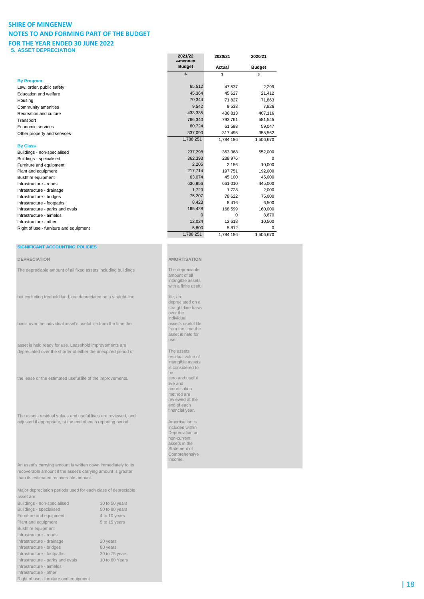## **SHIRE OF MINGENEW NOTES TO AND FORMING PART OF THE BUDGET FOR THE YEAR ENDED 30 JUNE 2022**

**5. ASSET DEPRECIATION** 

|                                        | 2021/22<br>Amended | 2020/21   | 2020/21       |
|----------------------------------------|--------------------|-----------|---------------|
|                                        | <b>Budget</b>      | Actual    | <b>Budget</b> |
|                                        | \$                 | \$        | \$            |
| <b>By Program</b>                      |                    |           |               |
| Law, order, public safety              | 65,512             | 47,537    | 2,299         |
| Education and welfare                  | 45,364             | 45.627    | 21,412        |
| Housing                                | 70,344             | 71,827    | 71,863        |
| Community amenities                    | 9,542              | 9,533     | 7,826         |
| Recreation and culture                 | 433,335            | 436,813   | 407,116       |
| Transport                              | 766,340            | 793.761   | 581,545       |
| Economic services                      | 60.724             | 61.593    | 59,047        |
| Other property and services            | 337,090            | 317,495   | 355,562       |
|                                        | 1,788,251          | 1,784,186 | 1,506,670     |
| <b>By Class</b>                        |                    |           |               |
| Buildings - non-specialised            | 237,298            | 363,368   | 552,000       |
| Buildings - specialised                | 362,393            | 238,976   | $\Omega$      |
| Furniture and equipment                | 2,205              | 2,186     | 10,000        |
| Plant and equipment                    | 217,714            | 197,751   | 192,000       |
| <b>Bushfire equipment</b>              | 63,074             | 45,100    | 45,000        |
| Infrastructure - roads                 | 636,956            | 661,010   | 445,000       |
| Infrastructure - drainage              | 1,729              | 1.728     | 2.000         |
| Infrastructure - bridges               | 75,207             | 78.622    | 75,000        |
| Infrastructure - footpaths             | 8,423              | 8,416     | 6,500         |
| Infrastructure - parks and ovals       | 165,428            | 168,599   | 160,000       |
| Infrastructure - airfields             | $\Omega$           | $\Omega$  | 8,670         |
| Infrastructure - other                 | 12,024             | 12,618    | 10,500        |
| Right of use - furniture and equipment | 5,800              | 5,812     | $\mathbf 0$   |
|                                        | 1,788,251          | 1,784,186 | 1,506,670     |

### **SIGNIFICANT ACCOUNTING POLICIES**

The depreciable amount of all fixed assets including buildings The depreciable

but excluding freehold land, are depreciated on a straight-line life, are

basis over the individual asset's useful life from the time the

asset is held ready for use. Leasehold improvements are depreciated over the shorter of either the unexpired period of The assets

the lease or the estimated useful life of the improvements.

The assets residual values and useful lives are reviewed, and adjusted if appropriate, at the end of each reporting period. Amortisation is

An asset's carrying amount is written down immediately to its recoverable amount if the asset's carrying amount is greater than its estimated recoverable amount.

Major depreciation periods used for each class of depreciable asset are:

| Buildings - non-specialised            |
|----------------------------------------|
| Buildings - specialised                |
| Furniture and equipment                |
| Plant and equipment                    |
| <b>Bushfire equipment</b>              |
| Infrastructure - roads                 |
| Infrastructure - drainage              |
| Infrastructure - bridges               |
| Infrastructure - footpaths             |
| Infrastructure - parks and ovals       |
| Infrastructure - airfields             |
| Infrastructure - other                 |
| Right of use - furniture and equipment |

 $50$  to 80 years  $4$  to 10 years 5 to 15 years 20 years 80 years

30 to 50 years

30 to 75 years 10 to 60 Years

### **DEPRECIATION AMORTISATION**

amount of all intangible assets with a finite useful

depreciated on a straight-line basis over the individual<br>asset's useful life from the time the asset is held for use.

residual value of intangible assets is considered to

be<br>zero and useful live and amortisation method are reviewed at the end of each financial year.

included within Depreciation on non-current assets in the Statement of Comprehensive Income.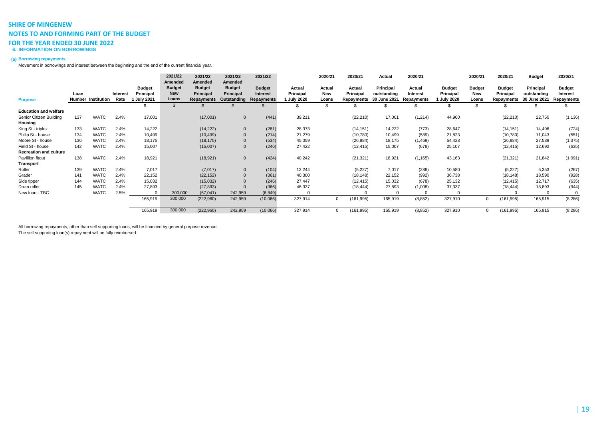### **SHIRE OF MINGENEW**

## **NOTES TO AND FORMING PART OF THE BUDGET**

## **FOR THE YEAR ENDED 30 JUNE 2022**

**6. INFORMATION ON BORROWINGS**

### **(a) Borrowing repayments**

Movement in borrowings and interest between the beginning and the end of the current financial year.

|                               |      |                    |                 |                            | 2021/22<br><b>Amended</b>   | 2021/22<br>Amended         | 2021/22<br>Amended                | 2021/22                          |                     | 2020/21              | 2020/21             | Actual                   | 2020/21                   |                                   | 2020/21                     | 2020/21                           | <b>Budget</b>            | 2020/21                   |
|-------------------------------|------|--------------------|-----------------|----------------------------|-----------------------------|----------------------------|-----------------------------------|----------------------------------|---------------------|----------------------|---------------------|--------------------------|---------------------------|-----------------------------------|-----------------------------|-----------------------------------|--------------------------|---------------------------|
|                               | Loan |                    | <b>Interest</b> | <b>Budget</b><br>Principal | <b>Budget</b><br><b>New</b> | <b>Budget</b><br>Principal | <b>Budget</b><br><b>Principal</b> | <b>Budget</b><br><b>Interest</b> | Actual<br>Principal | Actual<br><b>New</b> | Actual<br>Principal | Principal<br>outstanding | Actual<br><b>Interest</b> | <b>Budget</b><br><b>Principal</b> | <b>Budget</b><br><b>New</b> | <b>Budget</b><br><b>Principal</b> | Principal<br>outstanding | <b>Budget</b><br>Interest |
| <b>Purpose</b>                |      | Number Institution | Rate            | 1 July 2021                | Loans                       | Repayments                 | Outstanding                       | Repayments                       | July 2020           | Loans                | Repayments          | 30 June 2021             | Repayments                | <b>July 2020</b>                  | Loans                       | Repayments                        | 30 June 2021             | Repayments                |
|                               |      |                    |                 |                            |                             |                            |                                   |                                  |                     |                      |                     |                          |                           |                                   |                             |                                   |                          |                           |
| <b>Education and welfare</b>  |      |                    |                 |                            |                             |                            |                                   |                                  |                     |                      |                     |                          |                           |                                   |                             |                                   |                          |                           |
| Senior Citizen Building       | 137  | WATC               | 2.4%            | 17,001                     |                             | (17,001)                   | $\mathbf{0}$                      | (441)                            | 39,211              |                      | (22, 210)           | 17,001                   | (1,214)                   | 44,960                            |                             | (22, 210)                         | 22,750                   | (1, 136)                  |
| Housing                       |      |                    |                 |                            |                             |                            |                                   |                                  |                     |                      |                     |                          |                           |                                   |                             |                                   |                          |                           |
| King St - triplex             | 133  | <b>WATC</b>        | 2.4%            | 14,222                     |                             | (14, 222)                  | $\mathbf{0}$                      | (281)                            | 28,373              |                      | (14, 151)           | 14,222                   | (773)                     | 28,647                            |                             | (14, 151)                         | 14,496                   | (724)                     |
| Philip St - house             | 134  | <b>WATC</b>        | 2.4%            | 10,499                     |                             | (10, 499)                  | $\mathbf{0}$                      | (214)                            | 21,279              |                      | (10,780)            | 10,499                   | (589)                     | 21,823                            |                             | (10,780)                          | 11,043                   | (551)                     |
| Moore St - house              | 136  | <b>WATC</b>        | 2.4%            | 18,175                     |                             | (18, 175)                  | $\mathbf{0}$                      | (534)                            | 45,059              |                      | (26, 884)           | 18,175                   | (1,469)                   | 54,423                            |                             | (26, 884)                         | 27,539                   | (1, 375)                  |
| Field St - house              | 142  | <b>WATC</b>        | 2.4%            | 15,007                     |                             | (15,007)                   | $\Omega$                          | (246)                            | 27,422              |                      | (12, 415)           | 15,007                   | (678)                     | 25,107                            |                             | (12, 415)                         | 12,692                   | (635)                     |
| <b>Recreation and culture</b> |      |                    |                 |                            |                             |                            |                                   |                                  |                     |                      |                     |                          |                           |                                   |                             |                                   |                          |                           |
| Pavillion fitout              | 138  | WATC               | 2.4%            | 18,921                     |                             | (18, 921)                  | $\mathbf 0$                       | (424)                            | 40,242              |                      | (21, 321)           | 18,921                   | (1, 165)                  | 43,163                            |                             | (21, 321)                         | 21,842                   | (1,091)                   |
| <b>Transport</b>              |      |                    |                 |                            |                             |                            |                                   |                                  |                     |                      |                     |                          |                           |                                   |                             |                                   |                          |                           |
| Roller                        | 139  | <b>WATC</b>        | 2.4%            | 7,017                      |                             | (7,017)                    | $\mathbf{0}$                      | (104)                            | 12,244              |                      | (5,227)             | 7,017                    | (286)                     | 10,580                            |                             | (5, 227)                          | 5,353                    | (267)                     |
| Grader                        | 141  | <b>WATC</b>        | 2.4%            | 22,152                     |                             | (22, 152)                  | $\mathbf{0}$                      | (361)                            | 40,300              |                      | (18, 148)           | 22,152                   | (992)                     | 36,738                            |                             | (18, 148)                         | 18,590                   | (928)                     |
| Side tipper                   | 144  | <b>WATC</b>        | 2.4%            | 15,032                     |                             | (15,032)                   | $\Omega$                          | (246)                            | 27,447              |                      | (12, 415)           | 15,032                   | (678)                     | 25,132                            |                             | (12, 415)                         | 12,717                   | (635)                     |
| Drum roller                   | 145  | <b>WATC</b>        | 2.4%            | 27,893                     |                             | (27, 893)                  | $\Omega$                          | (366)                            | 46,337              |                      | (18, 444)           | 27,893                   | (1,008)                   | 37,337                            |                             | (18, 444)                         | 18,893                   | (944)                     |
| New loan - TBC                |      | <b>WATC</b>        | 2.5%            | $\Omega$                   | 300,000                     | (57, 041)                  | 242,959                           | (6, 849)                         | $\Omega$            |                      |                     | $\Omega$                 |                           |                                   |                             | $\Omega$                          | $\Omega$                 |                           |
|                               |      |                    |                 | 165,919                    | 300,000                     | (222,960)                  | 242,959                           | (10,066)                         | 327,914             | $\mathbf 0$          | (161, 995)          | 165,919                  | (8, 852)                  | 327,910                           | $\mathbf 0$                 | (161, 995)                        | 165,915                  | (8, 286)                  |
|                               |      |                    |                 | 165,919                    | 300,000                     | (222,960)                  | 242,959                           | (10,066)                         | 327,914             | $\Omega$             | (161, 995)          | 165,919                  | (8, 852)                  | 327,910                           | $\Omega$                    | (161, 995)                        | 165,915                  | (8, 286)                  |

All borrowing repayments, other than self supporting loans, will be financed by general purpose revenue. The self supporting loan(s) repayment will be fully reimbursed.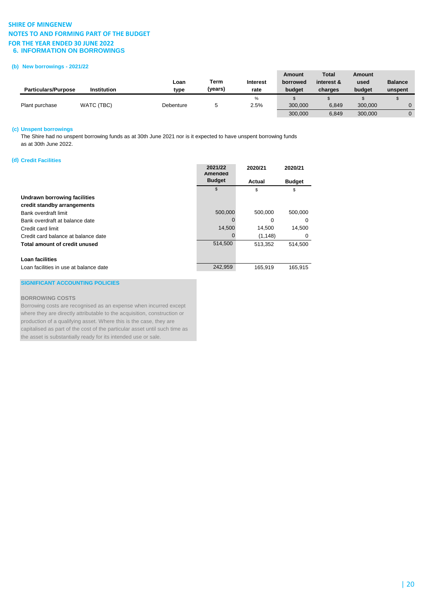## **SHIRE OF MINGENEW NOTES TO AND FORMING PART OF THE BUDGET FOR THE YEAR ENDED 30 JUNE 2022 6. INFORMATION ON BORROWINGS**

### **(b) New borrowings - 2021/22**

| <b>Particulars/Purpose</b> | <b>Institution</b> | Loan<br>type | Term<br>(years) | Interest<br>rate | Amount<br>borrowed<br>budget | <b>Total</b><br>interest &<br>charges | Amount<br>used<br>budget | <b>Balance</b><br>unspent |
|----------------------------|--------------------|--------------|-----------------|------------------|------------------------------|---------------------------------------|--------------------------|---------------------------|
|                            |                    |              |                 | %                |                              |                                       |                          |                           |
| Plant purchase             | WATC (TBC)         | Debenture    |                 | 2.5%             | 300,000                      | 6,849                                 | 300.000                  |                           |
|                            |                    |              |                 |                  | 300.000                      | 6,849                                 | 300,000                  |                           |

### **(c) Unspent borrowings**

The Shire had no unspent borrowing funds as at 30th June 2021 nor is it expected to have unspent borrowing funds as at 30th June 2022.

## **(d) Credit Facilities**

|                                        | 2021/22<br>Amended | 2020/21  | 2020/21       |
|----------------------------------------|--------------------|----------|---------------|
|                                        | <b>Budget</b>      | Actual   | <b>Budget</b> |
|                                        | \$                 | \$       | \$            |
| Undrawn borrowing facilities           |                    |          |               |
| credit standby arrangements            |                    |          |               |
| Bank overdraft limit                   | 500,000            | 500.000  | 500.000       |
| Bank overdraft at balance date         |                    | 0        | 0             |
| Credit card limit                      | 14,500             | 14.500   | 14,500        |
| Credit card balance at balance date    |                    | (1, 148) | 0             |
| Total amount of credit unused          | 514,500            | 513,352  | 514.500       |
|                                        |                    |          |               |
| Loan facilities                        |                    |          |               |
| Loan facilities in use at balance date | 242,959            | 165,919  | 165.915       |

## **SIGNIFICANT ACCOUNTING POLICIES**

### **BORROWING COSTS**

Borrowing costs are recognised as an expense when incurred except where they are directly attributable to the acquisition, construction or production of a qualifying asset. Where this is the case, they are capitalised as part of the cost of the particular asset until such time as the asset is substantially ready for its intended use or sale.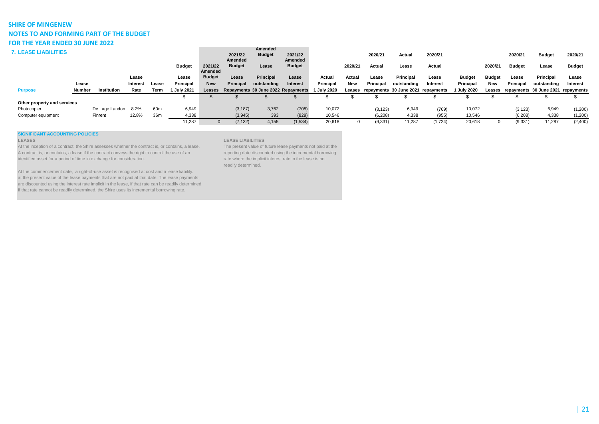## **SHIRE OF MINGENEW NOTES TO AND FORMING PART OF THE BUDGET FOR THE YEAR ENDED 30 JUNE 2022**

|                             |        |                |          |                 |               |               |                  | Amended                            |               |                  |         |           |                                           |          |                  |               |               |                                           |               |
|-----------------------------|--------|----------------|----------|-----------------|---------------|---------------|------------------|------------------------------------|---------------|------------------|---------|-----------|-------------------------------------------|----------|------------------|---------------|---------------|-------------------------------------------|---------------|
| <b>7. LEASE LIABILITIES</b> |        |                |          |                 |               |               | 2021/22          | <b>Budget</b>                      | 2021/22       |                  |         | 2020/21   | Actual                                    | 2020/21  |                  |               | 2020/21       | <b>Budget</b>                             | 2020/21       |
|                             |        |                |          |                 |               |               | Amended          |                                    | Amended       |                  |         |           |                                           |          |                  |               |               |                                           |               |
|                             |        |                |          |                 | <b>Budget</b> | 2021/22       | <b>Budget</b>    | Lease                              | <b>Budget</b> |                  | 2020/21 | Actual    | Lease                                     | Actual   |                  | 2020/21       | <b>Budget</b> | Lease                                     | <b>Budget</b> |
|                             |        |                |          |                 |               | Amended       |                  |                                    |               |                  |         |           |                                           |          |                  |               |               |                                           |               |
|                             |        |                | Lease    |                 | Lease         | <b>Budget</b> | Lease            | Principal                          | Lease         | Actual           | Actual  | Lease     | Principal                                 | Lease    | <b>Budget</b>    | <b>Budget</b> | Lease         | Principal                                 | Lease         |
|                             | Lease  |                | Interest | Lease           | Principal     | <b>New</b>    | <b>Principal</b> | outstanding                        | Interest      | Principal        | New     | Principal | outstanding                               | Interest | Principal        | New           | Principal     | outstanding                               | Interest      |
| <b>Purpose</b>              | Number | Institution    | Rate     | Term            | 1 July 2021   | Leases        |                  | Repayments 30 June 2022 Repayments |               | <b>July 2020</b> |         |           | Leases repayments 30 June 2021 repayments |          | <b>July 2020</b> |               |               | Leases repayments 30 June 2021 repayments |               |
|                             |        |                |          |                 |               |               |                  |                                    |               |                  |         |           |                                           |          |                  |               |               |                                           |               |
| Other property and services |        |                |          |                 |               |               |                  |                                    |               |                  |         |           |                                           |          |                  |               |               |                                           |               |
| Photocopier                 |        | De Lage Landon | 8.2%     | 60 <sub>m</sub> | 6.949         |               | (3, 187)         | 3,762                              | (705)         | 10,072           |         | (3, 123)  | 6,949                                     | (769)    | 10,072           |               | (3, 123)      | 6,949                                     | (1, 200)      |
| Computer equipment          |        | Finrent        | 12.8%    | 36m             | 4,338         |               | (3,945)          | 393                                | (829)         | 10,546           |         | (6, 208)  | 4,338                                     | (955)    | 10,546           |               | (6, 208)      | 4,338                                     | (1,200)       |
|                             |        |                |          |                 | 11,287        |               | (7, 132)         | 4,155                              | (1,534)       | 20,618           |         | (9, 331)  | 11.287                                    | (1,724)  | 20,618           |               | (9, 331)      | 11,287                                    | (2,400)       |

### **SIGNIFICANT ACCOUNTING POLICIES**

**LEASES LEASES LEASE LIABILITIES LEASE LIABILITIES LEASE LIABILITIES LEASE LIABILITIES LEASE LIABILITIES At the inception of a contract, the Shire assesses whether the contract is, or contains, a lease.** The At the inception of a contract, the Shire assesses whether the contract is, or contains, a lease. A contract is, or contains, a lease if the contract conveys the right to control the use of an reporting date discounted using the incremental borrowing identified asset for a period of time in exchange for consideration. identified asset for a period of time in exchange for consideration.

readily determined.

At the commencement date, a right-of-use asset is recognised at cost and a lease liability. at the present value of the lease payments that are not paid at that date. The lease payments are discounted using the interest rate implicit in the lease, if that rate can be readily determined. If that rate cannot be readily determined, the Shire uses its incremental borrowing rate.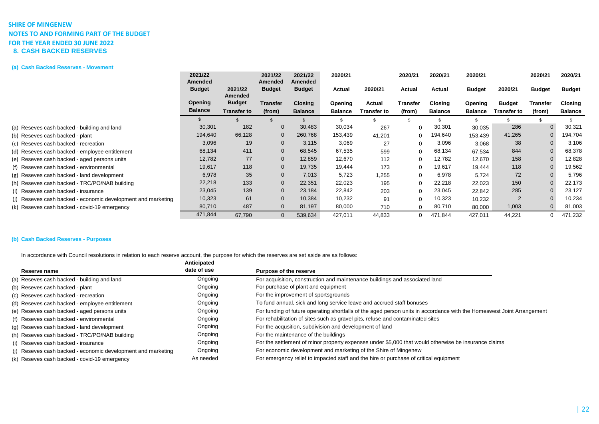## **SHIRE OF MINGENEW NOTES TO AND FORMING PART OF THE BUDGET FOR THE YEAR ENDED 30 JUNE 2022 8. CASH BACKED RESERVES**

### **(a) Cash Backed Reserves - Movement**

|                                                              | 2021/22<br>Amended |                    | 2021/22<br>Amended | 2021/22<br>Amended | 2020/21        |                    | 2020/21  | 2020/21        | 2020/21        |             | 2020/21         | 2020/21        |
|--------------------------------------------------------------|--------------------|--------------------|--------------------|--------------------|----------------|--------------------|----------|----------------|----------------|-------------|-----------------|----------------|
|                                                              | <b>Budget</b>      | 2021/22<br>Amended | <b>Budget</b>      | <b>Budget</b>      | Actual         | 2020/21            | Actual   | <b>Actual</b>  | <b>Budget</b>  | 2020/21     | <b>Budget</b>   | <b>Budget</b>  |
|                                                              | Opening            | <b>Budget</b>      | Transfer           | <b>Closing</b>     | Opening        | Actual             | Transfer | <b>Closing</b> | Opening        | Budget      | <b>Transfer</b> | <b>Closing</b> |
|                                                              | <b>Balance</b>     | <b>Transfer to</b> | (from)             | <b>Balance</b>     | <b>Balance</b> | <b>Transfer to</b> | (from)   | <b>Balance</b> | <b>Balance</b> | Transfer to | (from)          | <b>Balance</b> |
|                                                              |                    |                    |                    |                    |                |                    |          |                |                |             |                 |                |
| (a) Reseves cash backed - building and land                  | 30,301             | 182                | $\mathbf 0$        | 30,483             | 30,034         | 267                |          | 30,301         | 30,035         | 286         | $\mathbf{0}$    | 30,321         |
| (b) Reseves cash backed - plant                              | 194,640            | 66,128             | $\mathbf{0}$       | 260,768            | 153,439        | 41,201             |          | 194,640        | 153,439        | 41,265      | $\mathbf 0$     | 194,704        |
| (c) Reseves cash backed - recreation                         | 3,096              | 19                 | $\mathbf{0}$       | 3,115              | 3,069          | 27                 |          | 3,096          | 3,068          | 38          | $\Omega$        | 3,106          |
| (d) Reseves cash backed - employee entitlement               | 68,134             | 411                | $\overline{0}$     | 68,545             | 67,535         | 599                |          | 68,134         | 67,534         | 844         | $\mathbf{0}$    | 68,378         |
| (e) Reseves cash backed - aged persons units                 | 12,782             | 77                 | $\Omega$           | 12,859             | 12,670         | 112                |          | 12,782         | 12,670         | 158         | $\mathbf 0$     | 12,828         |
| (f) Reseves cash backed - environmental                      | 19,617             | 118                | $\mathbf{0}$       | 19,735             | 19,444         | 173                | $\Omega$ | 19,617         | 19,444         | 118         | $\mathbf{0}$    | 19,562         |
| (g) Reseves cash backed - land development                   | 6,978              | 35                 | $\mathbf{0}$       | 7,013              | 5,723          | 1,255              |          | 6,978          | 5,724          | 72          | $\mathbf 0$     | 5,796          |
| (h) Reseves cash backed - TRC/PO/NAB building                | 22,218             | 133                | $\Omega$           | 22,351             | 22,023         | 195                |          | 22,218         | 22,023         | 150         | $\mathbf 0$     | 22,173         |
| (i) Reseves cash backed - insurance                          | 23,045             | 139                |                    | 23,184             | 22,842         | 203                |          | 23,045         | 22,842         | 285         | $\Omega$        | 23,127         |
| (i) Reseves cash backed - economic development and marketing | 10,323             | 61                 |                    | 10,384             | 10,232         | 91                 |          | 10,323         | 10,232         |             | $\mathbf 0$     | 10,234         |
| (k) Reseves cash backed - covid-19 emergency                 | 80,710             | 487                |                    | 81,197             | 80,000         | 710                |          | 80,710         | 80,000         | 1,003       | $\mathbf{0}$    | 81,003         |
|                                                              | 471,844            | 67,790             | $\mathbf{0}$       | 539,634            | 427,011        | 44,833             |          | 471,844        | 427,011        | 44,221      | 0               | 471,232        |

### **(b) Cash Backed Reserves - Purposes**

In accordance with Council resolutions in relation to each reserve account, the purpose for which the reserves are set aside are as follows:

| Reserve name                                                 | Anticipated<br>date of use | Purpose of the reserve                                                                                                 |
|--------------------------------------------------------------|----------------------------|------------------------------------------------------------------------------------------------------------------------|
| (a) Reseves cash backed - building and land                  | Ongoing                    | For acquisition, construction and maintenance buildings and associated land                                            |
| (b) Reseves cash backed - plant                              | Ongoing                    | For purchase of plant and equipment                                                                                    |
| (c) Reseves cash backed - recreation                         | Ongoing                    | For the improvement of sportsgrounds                                                                                   |
| (d) Reseves cash backed - employee entitlement               | Ongoing                    | To fund annual, sick and long service leave and accrued staff bonuses                                                  |
| (e) Reseves cash backed - aged persons units                 | Ongoing                    | For funding of future operating shortfalls of the aged person units in accordance with the Homeswest Joint Arrangement |
| (f) Reseves cash backed - environmental                      | Ongoing                    | For rehabilitation of sites such as gravel pits, refuse and contaminated sites                                         |
| (g) Reseves cash backed - land development                   | Ongoing                    | For the acqusition, subdivision and development of land                                                                |
| (h) Reseves cash backed - TRC/PO/NAB building                | Ongoing                    | For the maintenance of the buildings                                                                                   |
| (i) Reseves cash backed - insurance                          | Ongoing                    | For the settlement of minor property expenses under \$5,000 that would otherwise be insurance claims                   |
| (i) Reseves cash backed - economic development and marketing | Ongoing                    | For economic development and marketing of the Shire of Mingenew                                                        |
| (k) Reseves cash backed - covid-19 emergency                 | As needed                  | For emergency relief to impacted staff and the hire or purchase of critical equipment                                  |
|                                                              |                            |                                                                                                                        |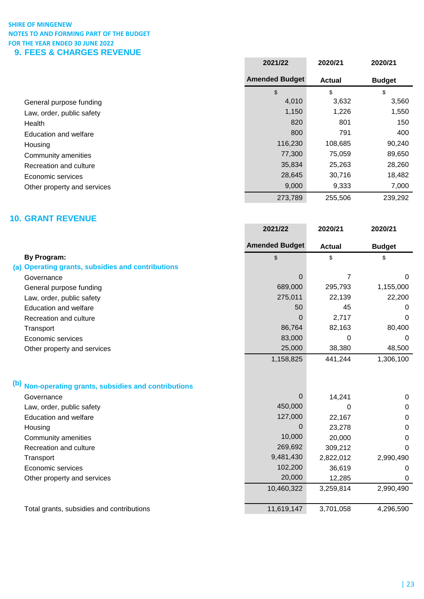## **SHIRE OF MINGENEW NOTES TO AND FORMING PART OF THE BUDGET FOR THE YEAR ENDED 30 JUNE 2022 9. FEES & CHARGES REVENUE**

|                             | 2021/22               | 2020/21       | 2020/21       |
|-----------------------------|-----------------------|---------------|---------------|
|                             | <b>Amended Budget</b> | <b>Actual</b> | <b>Budget</b> |
|                             | $\mathcal{S}$         | \$            | \$            |
| General purpose funding     | 4,010                 | 3,632         | 3,560         |
| Law, order, public safety   | 1,150                 | 1,226         | 1,550         |
| Health                      | 820                   | 801           | 150           |
| Education and welfare       | 800                   | 791           | 400           |
| Housing                     | 116,230               | 108,685       | 90,240        |
| Community amenities         | 77,300                | 75,059        | 89,650        |
| Recreation and culture      | 35,834                | 25,263        | 28,260        |
| Economic services           | 28,645                | 30,716        | 18,482        |
| Other property and services | 9,000                 | 9,333         | 7,000         |
|                             | 273,789               | 255,506       | 239,292       |

\_\_\_\_\_\_\_

÷

# **10. GRANT REVENUE**

|                                                       | 2021/22               | 2020/21       | 2020/21       |
|-------------------------------------------------------|-----------------------|---------------|---------------|
|                                                       | <b>Amended Budget</b> | <b>Actual</b> | <b>Budget</b> |
| <b>By Program:</b>                                    | \$                    | \$            | \$            |
| (a) Operating grants, subsidies and contributions     |                       |               |               |
| Governance                                            | 0                     | 7             | 0             |
| General purpose funding                               | 689,000               | 295,793       | 1,155,000     |
| Law, order, public safety                             | 275,011               | 22,139        | 22,200        |
| <b>Education and welfare</b>                          | 50                    | 45            | 0             |
| Recreation and culture                                | 0                     | 2,717         | 0             |
| Transport                                             | 86,764                | 82,163        | 80,400        |
| Economic services                                     | 83,000                | 0             | 0             |
| Other property and services                           | 25,000                | 38,380        | 48,500        |
|                                                       | 1,158,825             | 441,244       | 1,306,100     |
| (b) Non-operating grants, subsidies and contributions |                       |               |               |
| Governance                                            | 0                     | 14,241        | 0             |
| Law, order, public safety                             | 450,000               | 0             | 0             |
| <b>Education and welfare</b>                          | 127,000               | 22,167        | 0             |
| Housing                                               | 0                     | 23,278        | 0             |
| Community amenities                                   | 10,000                | 20,000        | 0             |
| Recreation and culture                                | 269,692               | 309,212       | 0             |
| Transport                                             | 9,481,430             | 2,822,012     | 2,990,490     |
| Economic services                                     | 102,200               | 36,619        | 0             |
| Other property and services                           | 20,000                | 12,285        | 0             |
|                                                       | 10,460,322            | 3,259,814     | 2,990,490     |
| Total grants, subsidies and contributions             | 11,619,147            | 3,701,058     | 4,296,590     |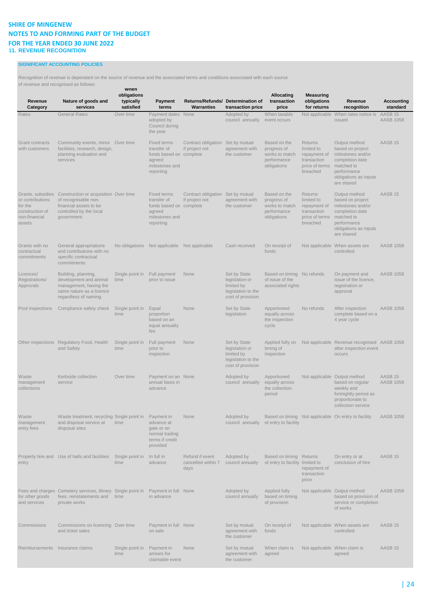## **SHIRE OF MINGENEW NOTES TO AND FORMING PART OF THE BUDGET FOR THE YEAR ENDED 30 JUNE 2022 11. REVENUE RECOGNITION**

### **SIGNIFICANT ACCOUNTING POLICIES**

Recognition of revenue is dependant on the source of revenue and the associated terms and conditions associated with each source of revenue and recognised as follows:

| Revenue<br>Category                                                       | Nature of goods and<br>services                                                                                                                    | wnen<br>obligations<br>typically<br>satisfied | Payment<br>terms                                                                               | <b>Warranties</b>                                   | Returns/Refunds/ Determination of<br>transaction price                                  | Allocating<br>transaction<br>price                                          | <b>Measuring</b><br>obligations<br>for returns                                     | Revenue<br>recognition                                                                                                                        | <b>Accounting</b><br>standard |
|---------------------------------------------------------------------------|----------------------------------------------------------------------------------------------------------------------------------------------------|-----------------------------------------------|------------------------------------------------------------------------------------------------|-----------------------------------------------------|-----------------------------------------------------------------------------------------|-----------------------------------------------------------------------------|------------------------------------------------------------------------------------|-----------------------------------------------------------------------------------------------------------------------------------------------|-------------------------------|
| Rates                                                                     | <b>General Rates</b>                                                                                                                               | Over time                                     | Payment dates None<br>adopted by<br>Council during<br>the year                                 |                                                     | Adopted by<br>council annually                                                          | When taxable<br>event occurs                                                |                                                                                    | Not applicable When rates notice is<br>issued                                                                                                 | AASB 15<br><b>AASB 1058</b>   |
| Grant contracts<br>with customers                                         | Community events, minor Over time<br>facilities, research, design,<br>planning evaluation and<br>services                                          |                                               | Fixed terms<br>transfer of<br>funds based on complete<br>agreed<br>milestones and<br>reporting | Contract obligation Set by mutual<br>if project not | agreement with<br>the customer                                                          | Based on the<br>progress of<br>works to match<br>performance<br>obligations | Returns<br>limited to<br>repayment of<br>transaction<br>price of terms<br>breached | Output method<br>based on project<br>milestones and/or<br>completion date<br>matched to<br>performance<br>obligations as inputs<br>are shared | AASB <sub>15</sub>            |
| or contributions<br>for the<br>construction of<br>non-financial<br>assets | Grants, subsidies Construction or acquisition Over time<br>of recognisable non-<br>financial assets to be<br>controlled by the local<br>government |                                               | Fixed terms<br>transfer of<br>funds based on complete<br>agreed<br>milestones and<br>reporting | Contract obligation Set by mutual<br>if project not | agreement with<br>the customer                                                          | Based on the<br>progress of<br>works to match<br>performance<br>obligations | Returns<br>limited to<br>repayment of<br>transaction<br>price of terms<br>breached | Output method<br>based on project<br>milestones and/or<br>completion date<br>matched to<br>performance<br>obligations as inputs<br>are shared | AASB <sub>15</sub>            |
| Grants with no<br>contractual<br>commitments                              | General appropriations<br>and contributions with no<br>specific contractual<br>commitments                                                         |                                               | No obligations Not applicable Not applicable                                                   |                                                     | Cash received                                                                           | On receipt of<br>funds                                                      |                                                                                    | Not applicable When assets are<br>controlled                                                                                                  | <b>AASB 1058</b>              |
| Licences/<br>Registrations/<br>Approvals                                  | Building, planning,<br>development and animal<br>management, having the<br>same nature as a licence<br>regardless of naming.                       | Single point in<br>time                       | Full payment<br>prior to issue                                                                 | None                                                | Set by State<br>legislation or<br>limited by<br>legislation to the<br>cost of provision | Based on timing No refunds<br>of issue of the<br>associated rights          |                                                                                    | On payment and<br>issue of the licence,<br>registration or<br>approval                                                                        | <b>AASB 1058</b>              |
| Pool inspections                                                          | Compliance safety check                                                                                                                            | Single point in<br>time                       | Equal<br>proportion<br>based on an<br>equal annually<br>fee                                    | None                                                | Set by State<br>legislation                                                             | Apportioned<br>equally across<br>the inspection<br>cycle                    | No refunds                                                                         | After inspection<br>complete based on a<br>4 year cycle                                                                                       | <b>AASB 1058</b>              |
|                                                                           | Other inspections Regulatory Food, Health<br>and Safety                                                                                            | Single point in<br>time                       | Full payment<br>prior to<br>inspection                                                         | None                                                | Set by State<br>legislation or<br>limited by<br>legislation to the<br>cost of provision | Applied fully on<br>timing of<br>inspection                                 |                                                                                    | Not applicable Revenue recognised AASB 1058<br>after inspection event<br><b>OCCUIS</b>                                                        |                               |
| Waste<br>management<br>collections                                        | Kerbside collection<br>service                                                                                                                     | Over time                                     | Payment on an None<br>annual basis in<br>advance                                               |                                                     | Adopted by<br>council annually                                                          | Apportioned<br>equally across<br>the collection<br>period                   |                                                                                    | Not applicable Output method<br>based on regular<br>weekly and<br>fortnightly period as<br>proportionate to<br>collection service             | AASB 15<br><b>AASB 1058</b>   |
| Waste<br>management<br>entry fees                                         | Waste treatment, recycling Single point in Payment in<br>and disposal service at<br>disposal sites                                                 | time                                          | advance at<br>gate or on<br>normal trading<br>terms if credit<br>provided                      | None                                                | Adopted by<br>council annually of entry to facility                                     |                                                                             |                                                                                    | Based on timing Not applicable On entry to facility                                                                                           | <b>AASB 1058</b>              |
| entry                                                                     | Property hire and Use of halls and facilities                                                                                                      | Single point in<br>time                       | In full in<br>advance                                                                          | Refund if event<br>cancelled within 7<br>days       | Adopted by<br>council annually                                                          | Based on timing Returns<br>of entry to facility limited to                  | repayment of<br>transaction<br>price                                               | On entry or at<br>conclusion of hire                                                                                                          | AASB 15                       |
| for other goods<br>and services                                           | Fees and charges Cemetery services, library Single point in<br>fees, reinstatements and time<br>private works                                      |                                               | Payment in full None<br>in advance                                                             |                                                     | Adopted by<br>council annually                                                          | Applied fully<br>based on timing<br>of provision                            |                                                                                    | Not applicable Output method<br>based on provision of<br>service or completion<br>of works                                                    | <b>AASB 1058</b>              |
| Commissions                                                               | Commissions on licencing Over time<br>and ticket sales                                                                                             |                                               | Payment in full None<br>on sale                                                                |                                                     | Set by mutual<br>agreement with<br>the customer                                         | On receipt of<br>funds                                                      |                                                                                    | Not applicable When assets are<br>controlled                                                                                                  | AASB 15                       |
|                                                                           | Reimbursements Insurance claims                                                                                                                    | Single point in<br>time                       | Payment in<br>arrears for<br>claimable event                                                   | None                                                | Set by mutual<br>agreement with<br>the customer                                         | When claim is<br>agreed                                                     |                                                                                    | Not applicable When claim is<br>agreed                                                                                                        | AASB 15                       |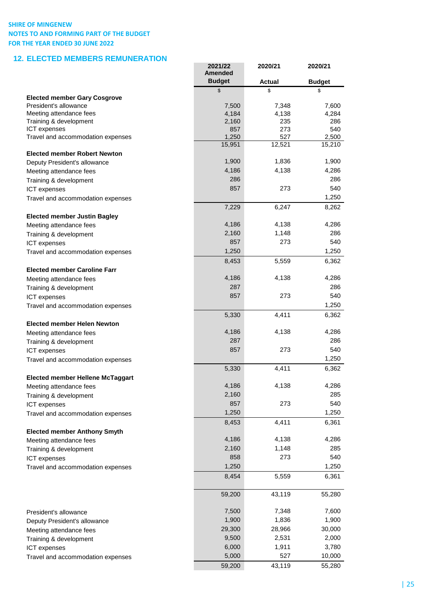## **SHIRE OF MINGENEW NOTES TO AND FORMING PART OF THE BUDGET FOR THE YEAR ENDED 30 JUNE 2022**

## **12. ELECTED MEMBERS REMUNERATION**

|                                                   | 2021/22<br><b>Amended</b> | 2020/21        | 2020/21        |
|---------------------------------------------------|---------------------------|----------------|----------------|
|                                                   | <b>Budget</b>             | <b>Actual</b>  | <b>Budget</b>  |
|                                                   | \$                        | \$             | \$             |
| <b>Elected member Gary Cosgrove</b>               |                           |                |                |
| President's allowance<br>Meeting attendance fees  | 7,500<br>4,184            | 7,348<br>4,138 | 7,600<br>4,284 |
| Training & development                            | 2,160                     | 235            | 286            |
| ICT expenses                                      | 857                       | 273            | 540            |
| Travel and accommodation expenses                 | 1,250                     | 527            | 2,500          |
|                                                   | 15,951                    | 12,521         | 15,210         |
| <b>Elected member Robert Newton</b>               | 1,900                     | 1,836          | 1,900          |
| Deputy President's allowance                      | 4,186                     | 4,138          | 4,286          |
| Meeting attendance fees                           | 286                       |                | 286            |
| Training & development                            | 857                       | 273            | 540            |
| ICT expenses<br>Travel and accommodation expenses |                           |                | 1,250          |
|                                                   | 7,229                     | 6,247          | 8,262          |
| <b>Elected member Justin Bagley</b>               |                           |                |                |
| Meeting attendance fees                           | 4,186                     | 4,138          | 4,286          |
| Training & development                            | 2,160                     | 1,148          | 286            |
| ICT expenses                                      | 857                       | 273            | 540            |
| Travel and accommodation expenses                 | 1,250                     |                | 1,250          |
|                                                   | 8,453                     | 5,559          | 6,362          |
| <b>Elected member Caroline Farr</b>               |                           |                |                |
| Meeting attendance fees                           | 4,186                     | 4,138          | 4,286          |
| Training & development                            | 287                       |                | 286            |
| ICT expenses                                      | 857                       | 273            | 540            |
| Travel and accommodation expenses                 |                           | 4,411          | 1,250          |
| Elected member Helen Newton                       | 5,330                     |                | 6,362          |
| Meeting attendance fees                           | 4,186                     | 4,138          | 4,286          |
| Training & development                            | 287                       |                | 286            |
| ICT expenses                                      | 857                       | 273            | 540            |
| Travel and accommodation expenses                 |                           |                | 1,250          |
|                                                   | 5,330                     | 4,411          | 6,362          |
| <b>Elected member Hellene McTaggart</b>           |                           |                |                |
| Meeting attendance fees                           | 4,186                     | 4,138          | 4,286          |
| Training & development                            | 2,160                     |                | 285            |
| ICT expenses                                      | 857                       | 273            | 540            |
| Travel and accommodation expenses                 | 1,250                     |                | 1,250          |
| <b>Elected member Anthony Smyth</b>               | 8,453                     | 4,411          | 6,361          |
| Meeting attendance fees                           | 4,186                     | 4,138          | 4,286          |
| Training & development                            | 2,160                     | 1,148          | 285            |
| ICT expenses                                      | 858                       | 273            | 540            |
| Travel and accommodation expenses                 | 1,250                     |                | 1,250          |
|                                                   | 8,454                     | 5,559          | 6,361          |
|                                                   |                           |                |                |
|                                                   | 59,200                    | 43,119         | 55,280         |
| President's allowance                             | 7,500                     | 7,348          | 7,600          |
| Deputy President's allowance                      | 1,900                     | 1,836          | 1,900          |
| Meeting attendance fees                           | 29,300                    | 28,966         | 30,000         |
| Training & development                            | 9,500                     | 2,531          | 2,000          |
| ICT expenses                                      | 6,000                     | 1,911          | 3,780          |
| Travel and accommodation expenses                 | 5,000                     | 527            | 10,000         |
|                                                   | 59,200                    | 43,119         | 55,280         |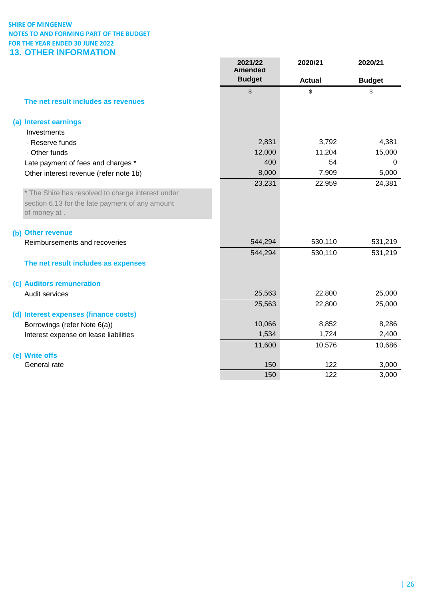## **SHIRE OF MINGENEW NOTES TO AND FORMING PART OF THE BUDGET FOR THE YEAR ENDED 30 JUNE 2022 13. OTHER INFORMATION**

|                                                                  | 2021/22<br><b>Amended</b> | 2020/21       | 2020/21        |
|------------------------------------------------------------------|---------------------------|---------------|----------------|
|                                                                  | <b>Budget</b>             | <b>Actual</b> | <b>Budget</b>  |
| The net result includes as revenues                              | \$                        | \$            | \$             |
|                                                                  |                           |               |                |
| (a) Interest earnings                                            |                           |               |                |
| Investments                                                      |                           |               |                |
| - Reserve funds                                                  | 2,831                     | 3,792         | 4,381          |
| - Other funds                                                    | 12,000                    | 11,204        | 15,000         |
| Late payment of fees and charges *                               | 400                       | 54            | $\overline{0}$ |
| Other interest revenue (refer note 1b)                           | 8,000                     | 7,909         | 5,000          |
|                                                                  | 23,231                    | 22,959        | 24,381         |
| * The Shire has resolved to charge interest under                |                           |               |                |
| section 6.13 for the late payment of any amount<br>of money at . |                           |               |                |
|                                                                  |                           |               |                |
| (b) Other revenue                                                |                           |               |                |
| Reimbursements and recoveries                                    | 544,294                   | 530,110       | 531,219        |
|                                                                  | 544,294                   | 530,110       | 531,219        |
| The net result includes as expenses                              |                           |               |                |
| (c) Auditors remuneration                                        |                           |               |                |
| Audit services                                                   | 25,563                    | 22,800        | 25,000         |
|                                                                  | 25,563                    | 22,800        | 25,000         |
| (d) Interest expenses (finance costs)                            |                           |               |                |
| Borrowings (refer Note 6(a))                                     | 10,066                    | 8,852         | 8,286          |
| Interest expense on lease liabilities                            | 1,534                     | 1,724         | 2,400          |
|                                                                  | 11,600                    | 10,576        | 10,686         |
| (e) Write offs                                                   |                           |               |                |
| General rate                                                     | 150                       | 122           | 3,000          |
|                                                                  | 150                       | 122           | 3,000          |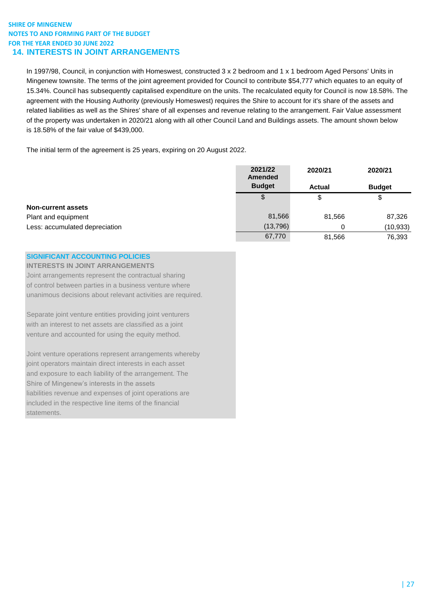## **SHIRE OF MINGENEW NOTES TO AND FORMING PART OF THE BUDGET FOR THE YEAR ENDED 30 JUNE 2022 14. INTERESTS IN JOINT ARRANGEMENTS**

In 1997/98, Council, in conjunction with Homeswest, constructed 3 x 2 bedroom and 1 x 1 bedroom Aged Persons' Units in Mingenew townsite. The terms of the joint agreement provided for Council to contribute \$54,777 which equates to an equity of 15.34%. Council has subsequently capitalised expenditure on the units. The recalculated equity for Council is now 18.58%. The agreement with the Housing Authority (previously Homeswest) requires the Shire to account for it's share of the assets and related liabilities as well as the Shires' share of all expenses and revenue relating to the arrangement. Fair Value assessment of the property was undertaken in 2020/21 along with all other Council Land and Buildings assets. The amount shown below is 18.58% of the fair value of \$439,000.

The initial term of the agreement is 25 years, expiring on 20 August 2022.

|                                | 2021/22<br><b>Amended</b> | 2020/21       | 2020/21<br><b>Budget</b> |  |
|--------------------------------|---------------------------|---------------|--------------------------|--|
|                                | <b>Budget</b>             | <b>Actual</b> |                          |  |
|                                | \$                        | σ<br>ง        | \$                       |  |
| <b>Non-current assets</b>      |                           |               |                          |  |
| Plant and equipment            | 81,566                    | 81,566        | 87,326                   |  |
| Less: accumulated depreciation | (13,796)                  | $\Omega$      | (10, 933)                |  |
|                                | 67,770                    | 81,566        | 76,393                   |  |

## **SIGNIFICANT ACCOUNTING POLICIES**

**INTERESTS IN JOINT ARRANGEMENTS** Joint arrangements represent the contractual sharing of control between parties in a business venture where unanimous decisions about relevant activities are required.

Separate joint venture entities providing joint venturers with an interest to net assets are classified as a joint venture and accounted for using the equity method.

Joint venture operations represent arrangements whereby joint operators maintain direct interests in each asset and exposure to each liability of the arrangement. The Shire of Mingenew's interests in the assets liabilities revenue and expenses of joint operations are included in the respective line items of the financial statements.